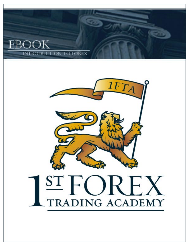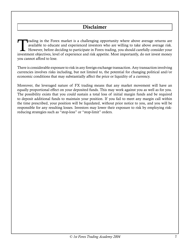# Disclaimer

Trading in the Forex market is a challenging opportunity where above average returns are available to educate and experienced investors who are willing to take above average risk.<br>However, before deciding to participate in available to educate and experienced investors who are willing to take above average risk. investment objectives, level of experience and risk appetite. Most importantly, do not invest money you cannot afford to lose.

There is considerable exposure to risk in any foreign exchange transaction. Any transaction involving currencies involves risks including, but not limited to, the potential for changing political and/or economic conditions that may substantially affect the price or liquidity of a currency.

Moreover, the leveraged nature of FX trading means that any market movement will have an equally proportional effect on your deposited funds. This may work against you as well as for you. The possibility exists that you could sustain a total loss of initial margin funds and be required to deposit additional funds to maintain your position. If you fail to meet any margin call within the time prescribed, your position will be liquidated, without prior notice to you, and you will be responsible for any resulting losses. Investors may lower their exposure to risk by employing riskreducing strategies such as "stop-loss" or "stop-limit" orders.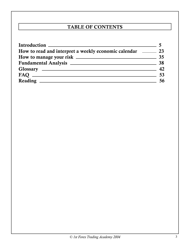# TABLE OF CONTENTS

| How to read and interpret a weekly economic calendar __________ 23 |    |
|--------------------------------------------------------------------|----|
|                                                                    |    |
| Fundamental Analysis 28                                            |    |
|                                                                    | 42 |
|                                                                    | 53 |
|                                                                    | 56 |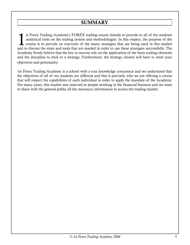# **SUMMARY**

and to discuss the steps and tools that are needed in order to use these strategies successfully. The students and to discuss the steps and tools that are needed in order to use these strategies successfully. The st Forex Trading Academy's FOREX trading course intends to provide to all of the students analytical tools on the trading system and methodologies. In this respect, the purpose of the course is to provide an overview of the many strategies that are being used in this market Academy firmly believe that the key to success rely on the application of the basis trading elements and the discipline to stick to a strategy. Furthermore, the strategy chosen will have to meet your objectives and personality.

1st Forex Trading Academy is a school with a true knowledge conscience and we understand that the objectives of all of our students are different and this is precisely why we are offering a course that will respect the capabilities of each individual in order to apply the mandate of the Academy. For many years, this market was reserved to people working in the financial business and we want to share with the general public all the necessary information to access the trading market.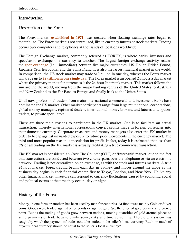## <span id="page-4-0"></span>Introduction

## Description of the Forex

The Forex market, **established in 1971**, was created when floating exchange rates began to materialize. The Forex market is not centralized, like in currency futures or stock markets. Trading occurs over computers and telephones at thousands of locations worldwide.

The Foreign Exchange market, commonly referred as FOREX, is where banks, investors and speculators exchange one currency to another. The largest foreign exchange activity retains the spot exchange (i.e.., immediate) between five major currencies: US Dollar, British Pound, Japanese Yen, Eurodollar and the Swiss Franc. It is also the largest financial market in the world. In comparison, the US stock market may trade \$10 billion in one day, whereas the Forex market will trade up to \$2 trillion in one single day. The Forex market is an opened 24 hours a day market where the primary market for currencies is the 24-hour Interbank market. This market follows the sun around the world, moving from the major banking centres of the United States to Australia and New Zealand to the Far East, to Europe and finally back to the Unites States.

Until now, professional traders from major international commercial and investment banks have dominated the FX market. Other market participants range from large multinational corporations, global money managers, registered dealers, international money brokers, and futures and options traders, to private speculators.

There are three main reasons to participate in the FX market. One is to facilitate an actual transaction, whereby international corporations convert profits made in foreign currencies into their domestic currency. Corporate treasurers and money managers also enter the FX market in order to hedge against unwanted exposure to future price movements in the currency market. The third and more popular reason is speculation for profit. In fact, today it is estimated that less than 5% of all trading on the FX market is actually facilitating a true commercial transaction.

The FX market is considered an Over The Counter (OTC) or 'Interbank' market, due to the fact that transactions are conducted between two counterparts over the telephone or via an electronic network. Trading is not centralized on an exchange, as with the stock and futures markets. A true 24-hour market, Forex trading begins each day in Sydney, and moves around the globe as the business day begins in each financial center, first to Tokyo, London, and New York. Unlike any other financial market, investors can respond to currency fluctuations caused by economic, social and political events at the time they occur - day or night.

## History of the Forex

Money, in one form or another, has been used by man for centuries. At first it was mainly Gold or Silver coins. Goods were traded against other goods or against gold. So, the price of gold became a reference point. But as the trading of goods grew between nations, moving quantities of gold around places to settle payments of trade became cumbersome, risky and time consuming. Therefore, a system was sought by which the payment of trades could be settled in the seller's local currency. But how much of buyer's local currency should be equal to the seller's local currency?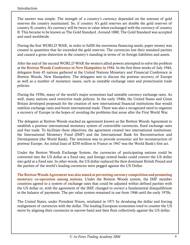The answer was simple. The strength of a country's currency depended on the amount of gold reserves the country maintained. So, if country A's gold reserves are double the gold reserves of country B, country A's currency will be twice in value when exchanged with the currency of country B. This became to be known as The Gold Standard. Around 1880, The Gold Standard was accepted and used worldwide.

During the first WORLD WAR, in order to fulfill the enormous financing needs, paper money was created in quantities that far exceeded the gold reserves. The currencies lost their standard parities and caused a gross distortion in the country's standing in terms of its foreign liabilities and assets.

After the end of the second WORLD WAR the western allied powers attempted to solve the problem at the **Bretton Woods Conference in New Hampshire in 1944**. In the first three weeks of July 1944, delegates from 45 nations gathered at the United Nations Monetary and Financial Conference in Bretton Woods, New Hampshire. The delegates met to discuss the postwar recovery of Europe as well as a number of monetary issues, such as unstable exchange rates and protectionist trade policies.

During the 1930s, many of the world's major economies had unstable currency exchange rates. As well, many nations used restrictive trade policies. In the early 1940s, the United States and Great Britain developed proposals for the creation of new international financial institutions that would stabilize exchange rates and boost international trade. There was also a recognized need to organize a recovery of Europe in the hopes of avoiding the problems that arose after the First World War.

The delegates at Bretton Woods reached an agreement known as the Bretton Woods Agreement to establish a postwar international monetary system of convertible currencies, fixed exchange rates and free trade. To facilitate these objectives, the agreement created two international institutions: the International Monetary Fund (IMF) and the International Bank for Reconstruction and Development (the World Bank). The intention was to provide economic aid for reconstruction of postwar Europe. An initial loan of \$250 million to France in 1947 was the World Bank's first act.

Under the Bretton Woods Exchange System, the currencies of participating nations could be converted into the US dollar at a fixed rate, and foreign central banks could convert the US dollar into gold at a fixed rate. In other words, the US dollar replaced the then dominant British Pound and the parities of the world's leading currencies were pegged against the US Dollar.

The Bretton Woods Agreement was also aimed at preventing currency competition and promoting monetary co-operation among nations. Under the Bretton Woods system, the IMF member countries agreed to a system of exchange rates that could be adjusted within defined parities with the US dollar or, with the agreement of the IMF, changed to correct a fundamental disequilibrium in the balance of payments. The per value system remained in use from 1946 until the early 1970s.

The United States, under President Nixon, retaliated in 1971 by devaluing the dollar and forcing realignment of currencies with the dollar. The leading European economies tried to counter the US move by aligning their currencies in narrow band and then float collectively against the US dollar.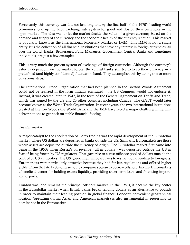Fortunately, this currency war did not last long and by the first half of the 1970's leading world economies gave up the fixed exchange rate system for good and floated their currencies in the open market. The idea was to let the market decide the value of a given currency based on the demand and supply of the currency and the economic health of the currency's nation. This market is popularly known as the International Monetary Market or IMM. This IMM is not a single entity. It is the collection of all financial institutions that have any interest in foreign currencies, all over the world. Banks, Brokerages, Fund Managers, Government Central Banks and sometimes individuals, are just a few examples.

This is very much the present system of exchange of foreign currencies. Although the currency's value is dependent on the market forces, the central banks still try to keep their currency in a predefined (and highly confidential) fluctuation band. They accomplish this by taking one or more of various steps.

The International Trade Organization that had been planned in the Bretton Woods Agreement could not be realized in the form initially envisaged - the US Congress would not endorse it. Instead, it was created later, in 1947, in the form of the General Agreement on Tariffs and Trade, which was signed by the US and 23 other countries including Canada. The GATT would later become known as the World Trade Organization. In recent years, the two international institutions created at Bretton Woods the World Bank and the IMF have faced a major challenge in helping debtor nations to get back on stable financial footing.

#### *The Euromarket*

A major catalyst to the acceleration of Forex trading was the rapid development of the Eurodollar market; where US dollars are deposited in banks outside the US. Similarly, Euromarkets are those where assets are deposited outside the currency of origin. The Eurodollar market first came into being in the 1950s when Russia's oil revenue - all in dollars - was deposited outside the US in fear of being frozen by US regulators. That gave rise to a vast offshore pool of dollars outside the control of US authorities. The US government imposed laws to restrict dollar lending to foreigners. Euromarkets were particularly attractive because they had far less regulations and offered higher yields. From the late 1980s onwards, US companies began to borrow offshore, finding Euromarkets a beneficial center for holding excess liquidity, providing short-term loans and financing imports and exports.

London was, and remains the principal offshore market. In the 1980s, it became the key center in the Eurodollar market when British banks began lending dollars as an alternative to pounds in order to maintain their leading position in global finance. London's convenient geographical location (operating during Asian and American markets) is also instrumental in preserving its dominance in the Euromarket.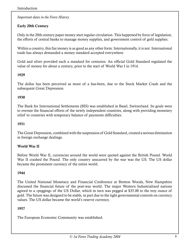*Important dates in the Forex History*

### Early 20th Century

Only in the 20th century paper money start regular circulation. This happened by force of legislation, the efforts of central banks to manage money supplies, and government control of gold supplies.

Within a country, this fiat money is as good as any other form. Internationally, it is not. International trade has always demanded a money standard accepted everywhere.

Gold and silver provided such a standard for centuries. An official Gold Standard regulated the value of money for about a century, prior to the start of World War I in 1914.

#### 1929

The dollar has been perceived as more of a has-been, due to the Stock Market Crash and the subsequent Great Depression.

#### 1930

The Bank for International Settlements (BIS) was established in Basel, Switzerland. Its goals were to oversee the financial efforts of the newly independent countries, along with providing monetary relief to countries with temporary balance of payments difficulties.

#### 1931

The Great Depression, combined with the suspension of Gold Standard, created a serious diminution in foreign exchange dealings.

#### World War II

Before World War II, currencies around the world were quoted against the British Pound. World War II crashed the Pound. The only country unscarred by the war was the US. The US dollar became the prominent currency of the entire world.

#### 1944

The United National Monetary and Financial Conference at Bretton Woods, New Hampshire discussed the financial future of the post-war world. The major Western Industrialized nations agreed to a «pegging» of the US Dollar, which in turn was pegged at \$35.00 to the troy ounce of gold. The future was designed to be stable, in part due to the tight governmental controls on currency values. The US dollar became the world's reserve currency.

#### 1957

The European Economic Community was established.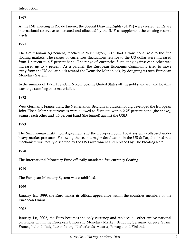### 1967

At the IMF meeting in Rio de Janeiro, the Special Drawing Rights (SDRs) were created. SDRs are international reserve assets created and allocated by the IMF to supplement the existing reserve assets.

### 1971

The Smithsonian Agreement, reached in Washington, D.C., had a transitional role to the free floating markets. The ranges of currencies fluctuations relative to the US dollar were increased from 1 percent to 4.5 percent band. The range of currencies fluctuating against each other was increased up to 9 percent. As a parallel, the European Economic Community tried to move away from the US dollar block toward the Deutsche Mark block, by designing its own European Monetary System.

In the summer of 1971, President Nixon took the United States off the gold standard, and floating exchange rates began to materialize.

#### 1972

West Germany, France, Italy, the Netherlands, Belgium and Luxembourg developed the European Joint Float. Member currencies were allowed to fluctuate within 2.25 percent band (the snake), against each other and 4.5 percent band (the tunnel) against the USD.

#### 1973

The Smithsonian Institution Agreement and the European Joint Float systems collapsed under heavy market pressures. Following the second major devaluation in the US dollar, the fixed-rate mechanism was totally discarded by the US Government and replaced by The Floating Rate.

#### 1978

The International Monetary Fund officially mandated free currency floating.

#### 1979

The European Monetary System was established.

#### 1999

January 1st, 1999, the Euro makes its official appearance within the countries members of the European Union.

#### 2002

January 1st, 2002, the Euro becomes the only currency and replaces all other twelve national currencies within the European Union and Monetary Market: Belgium, Germany, Greece, Spain, France, Ireland, Italy, Luxembourg, Netherlands, Austria, Portugal and Finland.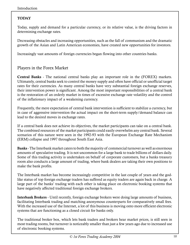## TODAY

Today, supply and demand for a particular currency, or its relative value, is the driving factors in determining exchange rates.

Decreasing obstacles and increasing opportunities, such as the fall of communism and the dramatic growth of the Asian and Latin American economies, have created new opportunities for investors.

Increasingly vast amounts of foreign currencies began flowing into other countries banks.

## Players in the Forex Market

Central Banks - The national central banks play an important role in the (FOREX) markets. Ultimately, central banks seek to control the money supply and often have official or unofficial target rates for their currencies. As many central banks have very substantial foreign exchange reserves, their intervention power is significant. Among the most important responsibilities of a central bank is the restoration of an orderly market in times of excessive exchange rate volatility and the control of the inflationary impact of a weakening currency.

Frequently, the mere expectation of central bank intervention is sufficient to stabilize a currency, but in case of aggressive intervention the actual impact on the short-term supply/demand balance can lead to the desired moves in exchange rates.

If a central bank does not achieve its objectives, the market participants can take on a central bank. The combined resources of the market participants could easily overwhelm any central bank. Several scenarios of this nature were seen in the 1992-93 with the European Exchange Rate Mechanism (ERM) collapse and 1997 throughout South East Asia.

Banks - The Interbank market caters to both the majority of commercial turnover as well as enormous amounts of speculative trading. It is not uncommon for a large bank to trade billions of dollars daily. Some of this trading activity is undertaken on behalf of corporate customers, but a banks treasury room also conducts a large amount of trading, where bank dealers are taking their own positions to make the bank profits.

The Interbank market has become increasingly competitive in the last couple of years and the godlike status of top foreign exchange traders has suffered as equity traders are again back in charge. A large part of the banks' trading with each other is taking place on electronic booking systems that have negatively affected traditional foreign exchange brokers.

Interbank Brokers - Until recently, foreign exchange brokers were doing large amounts of business, facilitating Interbank trading and matching anonymous counterparts for comparatively small fees. With the increased use of the Internet, a lot of this business is moving onto more efficient electronic systems that are functioning as a closed circuit for banks only.

The traditional broker box, which lets bank traders and brokers hear market prices, is still seen in most trading rooms, but turnover is noticeably smaller than just a few years ago due to increased use of electronic booking systems.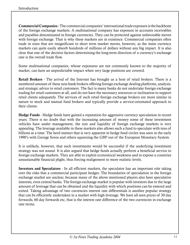Commercial Companies - The commercial companies' international trade exposure is the backbone of the foreign exchange markets. A multinational company has exposure in accounts receivables and payables denominated in foreign currencies. They can be protected against unfavorable moves with foreign exchange. That is why these markets are in existence. Commercial companies often trade in sizes that are insignificant to short term market moves, however, as the main currency markets can quite easily absorb hundreds of millions of dollars without any big impact. It is also clear that one of the decisive factors determining the long-term direction of a currency's exchange rate is the overall trade flow.

Some multinational companies, whose exposures are not commonly known to the majority of market, can have an unpredictable impact when very large positions are covered.

Retail Brokers - The arrival of the Internet has brought us a host of retail brokers. There is a numbered amount of these non-bank brokers offering foreign exchange dealing platforms, analysis, and strategic advice to retail customers. The fact is many banks do not undertake foreign exchange trading for retail customers at all, and do not have the necessary resources or inclination to support retail clients adequately. The services of such retail foreign exchange brokers are more similar in nature to stock and mutual fund brokers and typically provide a service-orientated approach to their clients.

Hedge Funds - Hedge funds have gained a reputation for aggressive currency speculation in recent years. There is no doubt that with the increasing amount of money some of these investment vehicles have under management, the size and liquidity of foreign exchange markets is very appealing. The leverage available in these markets also allows such a fund to speculate with tens of billions at a time. The herd instinct that is very apparent in hedge fund circles was seen in the early 1990's with George Soros and others squeezing the GBP out of the European Monetary System.

It is unlikely, however, that such investments would be successful if the underlying investment strategy was not sound. It is also argued that hedge funds actually perform a beneficial service to foreign exchange markets. They are able to exploit economical weakness and to expose a countries unsustainable financial plight, thus forcing realignment to more realistic levels.

Investors and Speculators - In all efficient markets, the speculator has an important role taking over the risks that a commercial participant hedges. The boundaries of speculation in the foreign exchange market are unclear, because many of the above mentioned players also have speculative interests, even central banks. The foreign exchange market is popular with investors due to the large amount of leverage that can be obtained and the liquidity with which positions can be entered and exited. Taking advantage of two currencies interest rate differentials is another popular strategy that can be efficiently undertaken in a market with high leverage. We have all seen prices of 30 day forwards, 60 day forwards etc, that is the interest rate difference of the two currencies in exchange rate terms.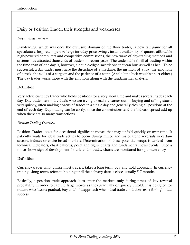## Daily or Position Trader, their strengths and weaknesses

#### *Day-trading overview*

Day-trading, which was once the exclusive domain of the floor trader, is now fair game for all speculators. Inspired in part by large intraday price swings, instant availability of quotes, affordable high-powered computers and competitive commissions, the new wave of day-trading methods and systems has attracted thousands of traders in recent years. The undeniable thrill of trading within the time span of one day is, however, a double-edged sword: one that can hurt as well as heal. To be successful, a day-trader must have the discipline of a machine, the instincts of a fox, the emotions of a rock, the skills of a surgeon and the patience of a saint. (And a little luck wouldn't hurt either.) The day trader works more with the emotions along with the fundamental analysis.

#### **Definition**

Very active currency trader who holds positions for a very short time and makes several trades each day. Day traders are individuals who are trying to make a career out of buying and selling stocks very quickly, often making dozens of trades in a single day and generally closing all positions at the end of each day. Day trading can be costly, since the commissions and the bid/ask spread add up when there are so many transactions.

#### *Position Trading Overview*

Position Trader looks for occasional significant moves that may unfold quickly or over time. It patiently waits for ideal trade setups to occur during minor and major trend reversals in certain sectors, indexes or entire broad markets. Determination of these potential setups is derived from technical indicators, chart patterns, point and figure charts and fundamental news events. Once a move shows sign of development, hourly and intraday charts are monitored for optimum entry.

#### **Definition**

Currency trader who, unlike most traders, takes a long-term, buy and hold approach. In currency trading, «long-term» refers to holding until the delivery date is close, usually 5-7 months.

Basically, a position trade approach is to enter the markets only during times of key reversal probability in order to capture large moves as they gradually or quickly unfold. It is designed for traders who favor a gradual, buy and hold approach when ideal trade conditions exist for high-odds success.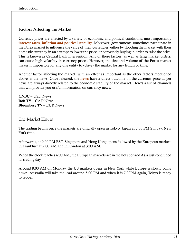## Factors Affecting the Market

Currency prices are affected by a variety of economic and political conditions, most importantly interest rates, inflation and political stability. Moreover, governments sometimes participate in the Forex market to influence the value of their currencies, either by flooding the market with their domestic currency in an attempt to lower the price, or conversely buying in order to raise the price. This is known as Central Bank intervention. Any of these factors, as well as large market orders, can cause high volatility in currency prices. However, the size and volume of the Forex market makes it impossible for any one entity to «drive» the market for any length of time.

Another factor affecting the market, with an effect as important as the other factors mentioned above, is the news. Once released, the **news** have a direct outcome on the currency price as per news are always directly related to the economic stability of the market. Here's a list of channels that will provide you useful information on currency news:

CNBC – USD News Rob TV – CAD News Bloomberg TV – EUR News

The Market Hours

The trading begins once the markets are officially open in Tokyo, Japan at 7:00 PM Sunday, New York time.

Afterwards, at 9:00 PM EST, Singapore and Hong Kong opens followed by the European markets in Frankfurt at 2:00 AM and in London at 3:00 AM.

When the clock reaches 4:00 AM, the European markets are in the hot spot and Asia just concluded its trading day.

Around 8:00 AM on Monday, the US markets opens in New York while Europe is slowly going down. Australia will take the lead around 5:00 PM and when it is 7:00PM again, Tokyo is ready to reopen.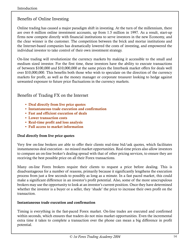## Benefits of Online Investing

Online trading has caused a major paradigm shift in investing. At the turn of the millennium, there are over 6 million online investment accounts, up from 1.5 million in 1997. As a result, start-up firms now compete directly with financial institutions to serve investors in the new Economy, and the clear winner is the customer. The competition between the brick and mortar institutions and the Internet-based companies has dramatically lowered the costs of investing, and empowered the individual investor to take control of their own investment strategy.

On-line trading will revolutionize the currency markets by making it accessible to the small and medium sized investor. For the first time, these investors have the ability to execute transactions of between \$100,000 and \$10,000,000 at the same prices the Interbank market offers for deals well over \$10,000,000. This benefits both those who wish to speculate on the direction of the currency markets for profit, as well as the money manager or corporate treasurer looking to hedge against unwanted exposure to future price fluctuations in the currency markets.

### Benefits of Trading FX on the Internet

- Deal directly from live price quotes
- Instantaneous trade execution and confirmation
- Fast and efficient execution of deals
- Lower transaction costs
- Real-time profit and loss analysis
- Full access to market information

#### Deal directly from live price quotes

Very few on-line brokers are able to offer their clients real-time bid/ask quotes, which facilitates instantaneous deal execution - no missed market opportunities. Real-time prices also allow investors to compare an on-line broker's dealing spread with that of other pricing services, to ensure they are receiving the best possible price on all their Forex transactions.

Many on-line Forex brokers require their clients to request a price before dealing. This is disadvantageous for a number of reasons, primarily because it significantly lengthens the execution process from just a few seconds to possibly as long as a minute. In a fast paced market, this could make a significant difference in an investor's profit potential. Also, some of the more unscrupulous brokers may use the opportunity to look at an investor's current position. Once they have determined whether the investor is a buyer or a seller, they 'shade' the price to increase their own profit on the transaction.

#### Instantaneous trade execution and confirmation

Timing is everything in the fast-paced Forex market. On-line trades are executed and confirmed within seconds, which ensures that traders do not miss market opportunities. Even the incremental extra time it takes to complete a transaction over the phone can mean a big difference in profit potential.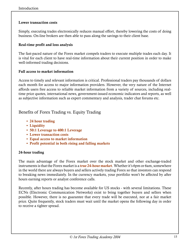#### Lower transaction costs

Simply, executing trades electronically reduces manual effort, thereby lowering the costs of doing business. On-line brokers are then able to pass along the savings to their client base.

#### Real-time profit and loss analysis

The fast-paced nature of the Forex market compels traders to execute multiple trades each day. It is vital for each client to have real-time information about their current position in order to make well-informed trading decisions.

#### Full access to market information

Access to timely and relevant information is critical. Professional traders pay thousands of dollars each month for access to major information providers. However, the very nature of the Internet affords users free access to reliable market information from a variety of sources, including realtime price quotes, international news, government-issued economic indicators and reports, as well as subjective information such as expert commentary and analysis, trader chat forums etc.

### Benefits of Forex Trading vs. Equity Trading

- 24 hour trading
- Liquidity
- 50:1 Leverage to 400:1 Leverage
- Lower transaction costs
- Equal access to market information
- Profit potential in both rising and falling markets

#### 24-hour trading

The main advantage of the Forex market over the stock market and other exchange-traded instruments is that the Forex market is a true 24-hour market. Whether it's 6pm or 6am, somewhere in the world there are always buyers and sellers actively trading Forex so that investors can respond to breaking news immediately. In the currency markets, your portfolio won't be affected by after hours earning reports or analyst conference calls.

Recently, after hours trading has become available for US stocks - with several limitations. These ECNs (Electronic Communication Networks) exist to bring together buyers and sellers when possible. However, there is no guarantee that every trade will be executed, nor at a fair market price. Quite frequently, stock traders must wait until the market opens the following day in order to receive a tighter spread.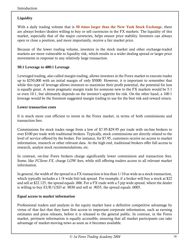## **Liquidity**

With a daily trading volume that is **50 times larger than the New York Stock Exchange**, there are always broker/dealers willing to buy or sell currencies in the FX markets. The liquidity of this market, especially that of the major currencies, helps ensure price stability. Investors can always open or close a position, and more importantly, receive a fair market price.

Because of the lower trading volume, investors in the stock market and other exchange-traded markets are more vulnerable to liquidity risk, which results in a wider dealing spread or larger price movements in response to any relatively large transaction.

#### 50:1 Leverage to 400:1 Leverage

Leveraged trading, also called margin trading, allows investors in the Forex market to execute trades up to \$250,000 with an initial margin of only \$5000. However, it is important to remember that while this type of leverage allows investors to maximize their profit potential, the potential for loss is equally great. A more pragmatic margin trade for someone new to the FX markets would be 5:1 or even 10:1, but ultimately depends on the investor's appetite for risk. On the other hand, a 100:1 leverage would be the foremost suggested margin trading to use for the best risk and reward return.

#### Lower transaction costs

It is much more cost efficient to invest in the Forex market, in terms of both commissions and transaction fees.

Commissions for stock trades range from a low of \$7.95-\$29.95 per trade with on-line brokers to over \$100 per trade with traditional brokers. Typically, stock commissions are directly related to the level of service offered by the broker. For instance, for \$7.95, customers receive no access to market information, research or other relevant data. At the high end, traditional brokers offer full access to research, analyst stock recommendations, etc.

In contrast, on-line Forex brokers charge significantly lower commission and transaction fees. Some, like *FCStone FX*, charge LOW fees, while still offering traders access to all relevant market information.

In general, the width of the spread in a FX transaction is less than 1/10 as wide as a stock transaction, which typically includes a 1/8 wide bid/ask spread. For example, if a broker will buy a stock at \$22 and sell at \$22.125, the spread equals .006. For a FX trade with a 5 pip wide spread, where the dealer is willing to buy EUR/USD at .9030 and sell at .9035, the spread equals .0005.

### Equal access to market information

Professional traders and analysts in the equity market have a definitive competitive advantage by virtue of that fact that they have first access to important corporate information, such as earning estimates and press releases, before it is released to the general public. In contrast, in the Forex market, pertinent information is equally accessible, ensuring that all market participants can take advantage of market-moving news as soon as it becomes available.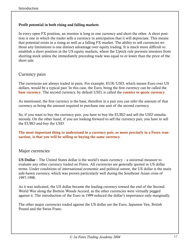#### Profit potential in both rising and falling markets

In every open FX position, an investor is long in one currency and short the other. A short position is one in which the trader sells a currency in anticipation that it will depreciate. This means that potential exists in a rising as well as a falling FX market. The ability to sell currencies without any limitations is one distinct advantage over equity trading. It is much more difficult to establish a short position in the US equity markets, where the Uptick rule prevents investors from shorting stock unless the immediately preceding trade was equal to or lower than the price of the short sale.

### Currency pairs

The currencies are always traded in pairs. For example, EUR/USD, which means Euro over US dollars, would be a typical pair. In this case, the Euro, being the first currency can be called the base currency. The second currency, by default USD, is called the counter or quote currency.

As mentioned, the first currency is the base, therefore in a pair you can refer the amount of that currency as being the amount required to purchase one unit of the second currency.

So, if you want to buy the currency pair, you have to buy the EURO and sell the USD simultaneously. On the other hand, if you are looking forward to sell the currency pair, you have to sell the EURO and buy the USD.

The most important thing to understand in a currency pair, or more precisely in a Forex transaction, is that you will be selling or buying the same currency.

#### Major currencies

US Dollar – The United States dollar is the world's main currency – a universal measure to evaluate any other currency traded on Forex. All currencies are generally quoted in US dollar terms. Under conditions of international economic and political unrest, the US dollar is the main safe-haven currency, which was proven particularly well during the Southeast Asian crisis of 1997-1998.

As it was indicated, the US dollar became the leading currency toward the end of the Second World War along the Bretton Woods Accord, as the other currencies were virtually pegged against it. The introduction of the Euro in 1999 reduced the dollar's importance only marginally.

The other major currencies traded against the US dollar are the Euro, Japanese Yen, British Pound and the Swiss Franc.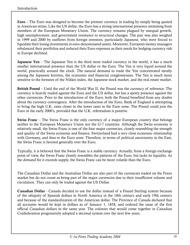Euro – The Euro was designed to become the premier currency in trading by simply being quoted in American terms. Like the US dollar, the Euro has a strong international presence stemming from members of the European Monetary Union. The currency remains plagued by unequal growth, high unemployment, and government resistance to structural changes. The pair was also weighed in 1999 and 2000 by outflows from foreign investors, particularly Japanese, who were forced to liquidate their losing investments in euro-denominated assets. Moreover, European money managers rebalanced their portfolios and reduced their Euro exposure as their needs for hedging currency risk in Europe declined.

**Japanese Yen** – The Japanese Yen is the third most traded currency in the world; it has a much smaller international presence than the US dollar or the Euro. The Yen is very liquid around the world, practically around the clock. The natural demand to trade the Yen concentrated mostly among the Japanese keiretsu, the economic and financial conglomerates. The Yen is much more sensitive to the fortunes of the Nikkei index, the Japanese stock market, and the real estate market.

British Pound – Until the end of the World War II, the Pound was the currency of reference. The currency is heavily traded against the Euro and the US dollar, but has a spotty presence against the other currencies. Prior to the introduction of the Euro, both the Pound benefited from any doubts about the currency convergence. After the introduction of the Euro, Bank of England is attempting to bring the high U.K. rates closer to the lower rates in the Euro zone. The Pound could join the Euro in the early 2000's, provided that the U.K. referendum is positive.

Swiss Franc – The Swiss Franc is the only currency of a major European country that belongs neither to the European Monetary Union nor the G-7 countries. Although the Swiss economy is relatively small, the Swiss Franc is one of the four major currencies, closely resembling the strength and quality of the Swiss economy and finance. Switzerland had a very close economic relationship with Germany, and thus to the Euro zone. Therefore, in terms of political uncertainty in the East, the Swiss Franc is favored generally over the Euro.

Typically, it is believed that the Swiss Franc is a stable currency. Actually, from a foreign exchange point of view, the Swiss Franc closely resembles the patterns of the Euro, but lacks its liquidity. As the demand for it exceeds supply, the Swiss Franc can be more volatile than the Euro.

The Canadian Dollar and the Australian Dollar are also part of the currencies traded on the Forex market but do not count as being part of the major currencies due to their insufficient volume and circulation. They can only be traded against the US Dollar.

Canadian Dollar - Canada decided to use the dollar instead of a Pound Sterling system because of the ubiquity of Spanish dollars in North America in the 18th century and early 19th century and because of the standardization of the American dollar. The Province of Canada declared that all accounts would be kept in dollars as of January 1, 1858, and ordered the issue of the first official Canadian dollars in the same year. The colonies that would come together in Canadian Confederation progressively adopted a decimal system over the next few years.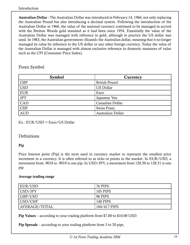Australian Dollar - The Australian Dollar was introduced in February 14, 1966, not only replacing the Australian Pound but also introducing a decimal system. Following the introduction of the Australian Dollar in 1966, the value of the national currency continued to be managed in accord with the Bretton Woods gold standard as it had been since 1954. Essentially the value of the Australian Dollar was managed with reference to gold, although in practice the US dollar was used. In 1983, the Australian government «floated» the Australian dollar, meaning that it no longer managed its value by reference to the US dollar or any other foreign currency. Today the value of the Australian Dollar is managed with almost exclusive reference to domestic measures of value such as the CPI (Consumer Price Index).

## Forex Symbol

| <b>Symbol</b> | Currency             |
|---------------|----------------------|
| <b>GBP</b>    | <b>British Pound</b> |
| <b>USD</b>    | <b>US Dollar</b>     |
| <b>EUR</b>    | Euro                 |
| <b>JPY</b>    | Japanese Yen         |
| <b>CAD</b>    | Canadian Dollar      |
| <b>CHF</b>    | Swiss Franc          |
| <b>AUD</b>    | Australian Dollar    |

Ex.: EUR/USD = Euro/US Dollar

### Definitions

#### Pip

Price Interest point (Pip) is the term used in currency market to represent the smallest price increment in a currency. It is often referred to as ticks or points in the market. In EUR/USD, a movement from .9018 to .9019 is one pip. In USD/JPY, a movement from 128.50 to 128.51 is one pip.

#### Average trading range

| EUR/USD              | <b>76 PIPS</b>  |
|----------------------|-----------------|
| USD/JPY              | ' 105 PIPS      |
| GBP/USD              | <b>96 PIPS</b>  |
| USD/CHF              | <b>140 PIPS</b> |
| <b>AVERAGE/TOTAL</b> | 104/417 PIPS    |

Pip Values – according to your trading platform from \$7.00 to \$10.00 USD.

Pip Spreads – according to your trading platform from 3 to 20 pips.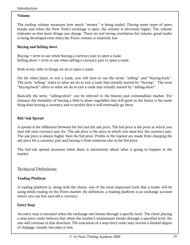#### Volume

The trading volume measures how much "money" is being traded. During some types of news breaks and when the New York's exchange is open, the volume is obviously higher. The volume indicates us that more things can change. There no real strong correlation for volume, good trades is being developed even when the Forex volume is relatively low.

#### Buying and Selling short

Buying = term to use when buying a currency pair to open a trade. Selling short = term to use when selling a currency pair to open a trade.

Both terms, refer to things we do to open a trade.

On the other hand, to exit a trade, you will have to use the terms "selling" and "buying-back". The term "selling" refers to what we do to exit a trade that initially started by "buying". The term "buying-back" refers to what we do to exit a trade that initially started by "selling-short".

Basically the term, "selling-short" can be referred to the futures and commodities market. For instance the mentality of buying a field to plant vegetables that will grow in the future is the same thing than buying a currency and to predict that it will eventually go short.

#### Bid/Ask Spread

A spread is the difference between the bid and the ask price. The bid price is the price at which you may sell your currency pair for. The ask price is the price at which you must buy the currency pair. The ask price is always higher then the bid price. Profits in the market are made from charging the ask price for a currency pair and buying it from someone else at the bid price.

The bid/ask spread increases when there is uncertainty about what is going to happen in the market.

## Technical Definitions

#### Trading Platform

A trading platform is, along with the charts, one of the most important tools that a trader will be using while trading on the Forex market. By definition, a trading platform is an exchange account where you can buy and sell a currency.

### Entry Stop

An entry stop is executed when the exchange rate breaks through a specific level. The client placing a stop entry order believes that when the market's momentum breaks through a specified level, the rate will continue in that direction. The execution of a stop entry order may involve a limited degree of slippage, usually two pips or less.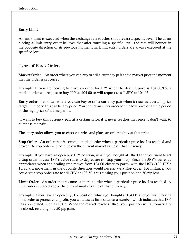#### Entry Limit

An entry limit is executed when the exchange rate touches (not breaks) a specific level. The client placing a limit entry order believes that after touching a specific level, the rate will bounce in the opposite direction of its previous momentum. Limit entry orders are always executed at the specified level.

## Types of Forex Orders

Market Order – An order where you can buy or sell a currency pair at the market price the moment that the order is processed.

Example: If you are looking to place an order for JPY when the dealing price is 104.00/05, a market order will request to buy JPY at 104.00 or will request to sell JPY at 104.05.

Entry order – An order where you can buy or sell a currency pair when it reaches a certain price target. In theory, this can be any price. You can set an entry order for the low price of a time period or the high price of a time period.

"I want to buy this currency pair at a certain price, if it never reaches that price, I don't want to purchase the pair".

The entry order allows you to choose a price and place an order to buy at that price.

Stop Order - An order that becomes a market order when a particular price level is reached and broken. A stop order is placed below the current market value of that currency.

Example: If you have an open buy JPY position, which you bought at 104.00 and you want to set a stop order in case JPY's value starts to depreciate (to stop your loss). Since the JPY's currency appreciates when the dealing rate moves from 104.00 closer to parity with the USD (102 JPY/ 1USD), a movement in the opposite direction would necessitate a stop order. For instance, you could set a stop order rate to sell JPY at 103.50, thus closing your position at a 50-pip loss.

Limit Order - An order that becomes a market order when a particular price level is reached. A limit order is placed above the current market value of that currency.

Example: If you have an open buy JPY position, which you bought at 104.00, and you want to set a limit order to protect your profit, you would set a limit order at a number, which indicates that JPY has appreciated, such as 104.5. When the market reaches 104.5, your position will automatically be closed, resulting in a 50-pip gain.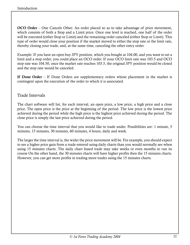OCO Order – One Cancels Other. An order placed so as to take advantage of price movement, which consists of both a Stop and a Limit price. Once one level is reached, one half of the order will be executed (either Stop or Limit) and the remaining order canceled (either Stop or Limit). This type of order would close your position if the market moved to either the stop rate or the limit rate, thereby closing your trade, and, at the same time, canceling the other entry order.

Example: If you have an open buy JPY position, which you bought at 104.00, and you want to set a limit and a stop order, you could place an OCO order. If your OCO limit rate was 103.5 and OCO stop rate was 104.50, once the market rate reaches 103.5, the original JPY position would be closed and the stop rate would be canceled.

If Done Order – If Done Orders are supplementary orders whose placement in the market is contingent upon the execution of the order to which it is associated.

## Trade Intervals

The chart software will list, for each interval, an open price, a low price, a high price and a close price. The open price is the price at the beginning of the period. The low price is the lowest price achieved during the period while the high price is the highest price achieved during the period. The close price is simply the last price achieved during the period.

You can choose the time interval that you would like to trade under. Possibilities are: 1 minute, 5 minutes, 15 minutes, 30 minutes, 60 minutes, 4 hours, daily and week.

The larger the time interval is, the wider the price movement will be. For example, you should expect to see a higher price gain from a trade entered using daily charts than you would normally see when using 15 minutes charts. The daily chart based trade may take weeks or even months to run its course On the other hand, the 30 minutes charts will have higher profits then the 15 minutes charts. However, you can get more profits in trading more trades using the 15 minutes charts.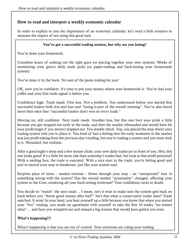### <span id="page-22-0"></span>How to read and interpret a weekly economic calendar

In order to explain to you the importance of an economic calendar, let's read a little scenario to measure the impact of not using this great tool.

#### You've got a successful trading session, but why are you losing?

You've done your homework.

Countless hours of seeking out the right guru (or piecing together your own system). Weeks of monitoring your guru's daily trade picks (or paper-trading and back-testing your homemade system).

You've done it by the book. No seat of the pants trading for you!

OK, now you're confident. It's time to put your money where your homework is. You've had your coffee and your first trade signal is before you.

Confidence high. Trade made. First loss. Not a problem. You understood before you started that successful traders both win and lose and "losing is part of the overall winning". You've also heard more then once that "successful traders don't win on every trade."

Moving on, still confident. Next trade made. Another loss, but this one hurt your pride a little because you got stopped out early in the trade, and then the market rebounded and would have hit your profit target if you weren't stopped out. You double check. Yep, you placed the stop where your trading system told you to place it. You kind of had a feeling that the early weakness in the market was just profit-taking from the previous day's trading, but you're trading a system and you must stick to it. Wounded, but resilient.

After a good night's sleep and a few mouse clicks, your new daily trades are in front of you. Hey, this one looks good! It's a little bit more risk than yesterday's trades had, but look at that profit potential! With a smiling face, the trade is executed. With a nice start to the trade, you're feeling good and you've moved your stop to breakeven, just like your system said.

Surprise piece of news – market reverses – blows through your stop – an "unexpected" loss. Is something wrong with the system? Has the overall market "personality" changed, affecting your system to the Core, rendering all your back-testing irrelevant? Your confidence turns to doubt.

You decide to "watch" the next trade… I mean, isn't it wise to make sure the system gets back on track before you "throw good money after bad?" Isn't that what a conservative trader does? Trade watched. It wins! In your head, you beat yourself up a little because you know that when you started your "live" trading, you made an agreement with yourself to take the first 10 trades "no matter what"… and here you wimpled-out and missed a big winner that would have gotten you even.

#### What's happening?!!

What's happening is that you are out of control. Your emotions are ruling your trading.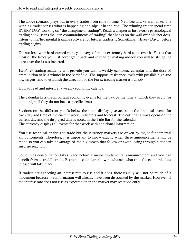The above scenario plays out in every trader from time to time. New bee and veteran alike. The winning trader senses what is happening and nips it in the bud. The winning trader spend time EVERY DAY, working on "the discipline of trading". Reads a chapter in his favorite psychological trading book, scans the "ten commandments of trading" that hangs on the wall over his/her desk, listens to his/her mental training software for futures traders… Something… Every Day… before trading begins.

Do not lose your hard earned money, as very often it's extremely hard to recover it. Fact is that most of the times you just never get it back and instead of making money you will be struggling to recover the losses incurred.

1st Forex trading academy will provide you with a weekly economic calendar and the dose of ammunition to be a winner in the battlefield. The support, resistance levels with possible high and low targets, and to establish the direction of the Forex trading market is our job.

How to read and interpret a weekly economic calendar

The calendar lists the important economic events for the day, by the time at which they occur (or at midnight if they do not have a specific time).

Sections on the different panels below the main display give access to the financial events for each day and time of the current week, indicators and forecast. The calendar always opens on the current day and the displayed date is noted in the Title Bar for the calendar. The currency displays all events for that week with additional information.

You use technical analysis to trade but the currency markets are driven by major fundamental announcements. Therefore, it is important to know exactly when these announcements will be made so you can take advantage of the big moves that follow or avoid losing through a sudden surprise reaction.

Sometimes consolidation takes place before a major fundamental announcement and you can benefit from a straddle trade. Economic calendars show in advance what time the economic data release will take place.

If traders are expecting an interest rate to rise and it does, there usually will not be much of a movement because the information will already have been discounted by the market. However, if the interest rate does not rise as expected, then the market may react violently.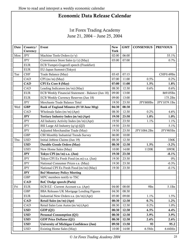# Economic Data Release Calendar

1st Forex Trading Academy June 21, 2004 – June 25, 2004

| Date | Country/<br>Currency | Event                                             | <b>New</b><br><b>York</b> | <b>GMT</b> | <b>CONSENSUS</b> | <b>PREVIOUS</b> |
|------|----------------------|---------------------------------------------------|---------------------------|------------|------------------|-----------------|
| Mon  | <b>JPY</b>           | Machine Tools Orders (y/y)                        | 02:00                     | 06:00      |                  | 55.1%           |
|      | <b>JPY</b>           | Convenience Store Sales (y/y) (May)               | 03:00                     | 07:00      |                  | 0.7%            |
|      | <b>EUR</b>           | ECB Tumpei-Gugerell speech (Frankfurt)            |                           |            |                  |                 |
|      | ${\rm EUR}$          | EU-Japan Summit (Tokyo)                           |                           |            |                  |                 |
| Tue  | <b>CHF</b>           | Trade Balance (May)                               | 03:45                     | 07:15      |                  | CHF0.49Bn       |
|      | CAD                  | $CPI(m/m)$ (May)                                  | 07:00                     | 11:00      | 0.5%             | 0.2%            |
|      | <b>CAD</b>           | <b>CPI Ex Core 8 (May)</b>                        | 07:00                     | 11:00      | 1.5%             | 1.8%            |
|      | CAD                  | Leading Indicators (m/m) (May)                    | 08:30                     | 12:30      | 0.6%             | 0.6%            |
|      | <b>EUR</b>           | ECB Weekly Financial Statement - Balance (Jun 18) | 09:00                     | 13:00      |                  | 869.05Bn        |
|      | ${\rm EUR}$          | ECB Weekly Currency Reserves (Jun 18)             | 09:00                     | 13:00      |                  | 175.2Bn         |
|      | <b>JPY</b>           | Merchants Trade Balance Total                     | 19:50                     | 23:50      | JPY800Bn         | JPY1079.1Bn     |
| Wed  | <b>GBP</b>           | Bank of England Minutes (9/10 June Mtg)           | 04:30                     | 08:30      |                  |                 |
|      | CAD                  | Wholesale Sales (m/m) (Apr)                       | 08:30                     | 12:30      | 0.2%             | 4.6%            |
|      | <b>JPY</b>           | Tertiary Industry Index (m/m) (Apr)               | 19:50                     | 23:50      | 1.0%             | 1.0%            |
|      | <b>JPY</b>           | All Industry Activity Index (m/m) (Apr)           | 19:50                     | 23:50      | 1.1%             | 1.1%            |
|      | <b>JPY</b>           | BSI Large All Industry (q/q) (Q2)                 | 19:50                     | 23:50      |                  | 5.1%            |
|      | <b>JPY</b>           | Adjusted Merchandise Trade (May)                  | 19:50                     | 23:50      | JPY1084.2Bn      | JPY985Bn        |
|      | <b>GBP</b>           | CBI Monthly Industrial Trends Survey              | 06:00                     | 10:00      |                  |                 |
| Thu  | <b>USD</b>           | Initial Jobless Claims (Jun 19)                   | 08:30                     | 12:30      |                  | 336K            |
|      | <b>USD</b>           | <b>Durable Goods Orders (May)</b>                 | 08:30                     | 12:30      | 1.5%             | $-3.2%$         |
|      | <b>USD</b>           | New Home Sales (May)                              | 10:00                     | 14:00      | 1120K            | 1093K           |
|      | <b>JPY</b>           | Tokyo CPI (m/m) s.a. (Jun)                        | 19:30                     | 23:30      |                  | $-0.1%$         |
|      | JPY                  | Tokyo CPI Ex Fresh Food (m.m) s.a. (Jun)          | 19:30                     | 23:30      |                  | $0\%$           |
|      | $_{\mathrm{JPY}}$    | National Consumer Prices s.a. (May)               | 19:30                     | 23:30      |                  | $-0.3%$         |
|      | <b>JPY</b>           | National CPI Ex Fresh Food (m/m) (May)            | 19:30                     | 23:30      |                  | $-0.1%$         |
|      | <b>JPY</b>           | <b>BoJ Monetary Policy Meeting</b>                |                           |            |                  |                 |
|      | <b>GBP</b>           | MPC members testify to TSC                        |                           |            |                  |                 |
|      | <b>CAD</b>           | <b>BoC Dodge speech (Paris)</b>                   |                           |            |                  |                 |
| Fri  | <b>EUR</b>           | ECB EZ - Current Account s.a. (Apr)               | 04:00                     | 08:00      | 9B <sub>n</sub>  | 5.1Bn           |
|      | GBP                  | BBA Releases UK Mortgage Lending Figures          | 04:30                     | 08:30      |                  |                 |
|      | <b>EUR</b>           | Industrial New Orders s.a. (m/m) (Apr)            | 05:00                     | 09:00      | 1.1%             | 1.5%            |
|      | <b>CAD</b>           | Retail Sales (m/m) (Apr)                          | 08:30                     | 12:30      | 0.7%             | 1.2%            |
|      | CAD                  | Retail Sales Less Autos (m/m) (Apr)               | 08:30                     | 12:30      | 0.2%             | 1.0%            |
|      | <b>USD</b>           | GDP (Q1)                                          | 08:30                     | 12:30      | 4.5%             | 4.4%            |
|      | <b>USD</b>           | <b>Personal Consumption (Q1)</b>                  | 08:30                     | 12:30      | 3.9%             | 3.9%            |
|      | <b>USD</b>           | <b>GDP Price Deflator (Q1)</b>                    | 08:30                     | 12:30      | 2.6%             | 2.6%            |
|      | <b>USD</b>           | University of Michigan Confidence (Jun)           | 09:50                     | 13:50      | 93               | 95.2            |
|      | <b>USD</b>           | Existing Home Sales (May)                         | 10:00                     | 14:00      | 6.5Mn            | 6.64Mn          |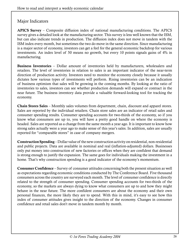### Major Indicators

APICS Survey – Composite diffusion index of national manufacturing conditions. The APICS survey gives a detailed look at the manufacturing sector. This survey is less well known that the ISM, but can also indicate trends in production. The diffusion index does not move in tandem with the ISM index every month, but sometimes the two do move in the same direction. Since manufacturing is a major sector of economy, investors can get a feel for the general economic backdrop for various investments. An index level of 50 means no growth, but every 10 points signals gains of 4% in manufacturing.

Business Inventories – Dollar amount of inventories held by manufacturers, wholesalers and retailers. The level of inventories in relation to sales is an important indicator of the near-term direction of production activity. Investors need to monitor the economy closely because it usually dictates how various types of investments will perform. Rising inventories can be an indication of business optimism that sales will be growing in the coming months. By looking at the ratio of inventories to sales, investors can see whether production demands will expand or contract in the near future. The business inventory data provide a valuable forward-looking tool for tracking the economy.

Chain Stores Sales – Monthly sales volumes from department, chain, discount and apparel stores. Sales are reported by the individual retailers. Chain store sales are an indicator of retail sales and consumer spending results. Consumer spending accounts for two-thirds of the economy, so if you know what consumers are up to, you will have a pretty good handle on where the economy is headed. Sales are reported as a change from the same month a year ago. It is important to know how strong sales actually were a year ago to make sense of this year's sales. In addition, sales are usually reported for "comparable stores" in case of company mergers.

Construction Spending – Dollar value of the new construction activity on residential, non-residential and public projects. Data are available in nominal and real (inflation-adjusted) dollars. Businesses only put money into construction of new factories or offices when they are confident that demand is strong enough to justify the expansion. The same goes for individuals making the investment in a home. That's why construction spending is a good indicator of the economy's momentum.

Consumer Confidence – Survey of consumer attitudes concerning both the present situation as well as expectations regarding economic conditions conducted by The Conference Board. Five thousand consumers across the country are surveyed each month. The level of consumer confidence is directly related to the strength of consumer spending. Consumer spending accounts for two-thirds of the economy, so the markets are always dying to know what consumers are up to and how they might behave in the near future. The more confident consumers are about the economy and their own personal finances, the more likely they are to spend. With this in mind, it's easy to see how this index of consumer attitudes gives insight to the direction of the economy. Changes in consumer confidence and retail sales don't move in tandem month by month.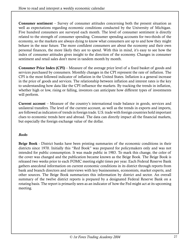Consumer sentiment – Survey of consumer attitudes concerning both the present situation as well as expectations regarding economic conditions conducted by the University of Michigan. Five hundred consumers are surveyed each month. The level of consumer sentiment is directly related to the strength of consumer spending. Consumer spending accounts for two-thirds of the economy, so the markets are always dying to know what consumers are up to and how they might behave in the near future. The more confident consumers are about the economy and their own personal finances, the more likely they are to spend. With this in mind, it's easy to see how the index of consumer attitudes gives insight to the direction of the economy. Changes in consumer sentiment and retail sales don't move in tandem month by month.

Consumer Price Index (CPI) – Measure of the average price level of a fixed basket of goods and services purchased by consumers. Monthly changes in the CPI represent the rate of inflation. The CPI is the most followed indicator of inflation in the United States. Inflation is a general increase in the price of goods and services. The relationship between inflation and interest rates is the key to understanding how data like the CPI influence the markets. By tracking the trends in inflation, whether high or low, rising or falling, investors can anticipate how different types of investments will perform.

Current account – Measure of the country's international trade balance in goods, services and unilateral transfers. The level of the current account, as well as the trends in exports and imports, are followed as indicators of trends in foreign trade. U.S. trade with foreign countries hold important clues to economic trends here and abroad. The data can directly impact all the financial markets, but especially the foreign exchange value of the dollar.

#### *Books*

Beige Book - District banks have been printing summaries of the economic conditions in their districts since 1970. Initially this "Red Book" was prepared for policymakers only and was not intended for public consumption. It was made public in 1983. To mark this change, the color of the cover was changed and the publication became known as the Beige Book. The Beige Book is released two weeks prior to each FOMC meeting eight times per year. Each Federal Reserve Bank gathers anecdotal information on current economic conditions in its district through reports from bank and branch directors and interviews with key businessmen, economists, market experts, and other sources. The Beige Book summarizes this information by district and sector. An overall summary of the twelve district reports is prepared by a designated Federal Reserve Bank on a rotating basis. The report is primarily seen as an indicator of how the Fed might act at its upcoming meeting.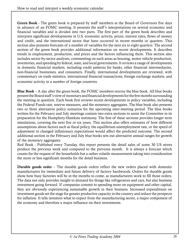Green Book - The green book is prepared by staff members at the Board of Governors five days in advance of an FOMC meeting. It presents the staff's interpretations on several economic and financial variables and is divided into two parts. The first part of the green book describes and interprets significant developments in U.S. economic activity, prices, interest rates, flows of money and credit, and the international sector that have occurred in recent months or quarters. This section also presents forecasts of a number of variables for the next six to eight quarters. The second section of the green book provides additional information on recent developments. It describes trends in employment, production, and prices and the factors influencing them. This section also includes sector-by-sector analyses, commenting on such areas as housing, motor vehicle production, inventories, and spending by federal, state, and local governments. It reviews a range of developments in domestic financial markets, including credit patterns for banks, other financial intermediaries, non-financial businesses, and consumers. Finally, international developments are reviewed, with commentary on trade statistics, international financial transactions, foreign exchange markets, and economic activity in a number of foreign countries.

Blue Book – A day after the green book, the FOMC members receive the blue book. All blue books present the Board staff's view of monetary and financial developments for the few months surrounding the meeting in question. Each book first reviews recent developments in policy variables, including the Federal Funds rate, reserve measures, and the monetary aggregates. The blue book also presents two or three alternative policy scenarios for the upcoming inter-meeting period. The blue books written for the February and July meetings contain two extra sections to assist the Committee in its preparation for the Humphrey-Hawkins testimony. The first of these sections provides longer term simulations, covering the next five or six years. This section also offers estimates of how different assumptions about factors such as fiscal policy, the equilibrium unemployment rate, or the speed of adjustment to changed inflationary expectations would affect the predicted outcome. The second additional section in the February and July blue books sets out alternative annual ranges for growth of the monetary aggregates.

Red Book - Published every Tuesday, this report presents the detail sales of some 30 US stores produce the previous week and compared to the previous month. It is always a forecast which counts for the request of the households but a rather volatile measurement taking into consideration the more or less significant months for the detail business.

Durable goods order – The durable goods orders reflect the new orders placed with domestic manufacturers for immediate and future delivery of factory hardwoods. Orders for durable goods show how busy factories will be in the months to come, as manufacturers work to fill those orders. The data not only provides insight to demand for things like refrigerators and cars, but also business investment going forward. If companies commit to spending more on equipment and other capital, they are obviously experiencing sustainable growth in their business. Increased expenditures on investment goods set the stage for greater productive capacity in the country and reduce the prospects for inflation. It tells investors what to expect from the manufacturing sector, a major component of the economy and therefore a major influence on their investments.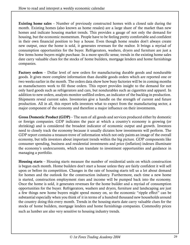Existing home sales – Number of previously constructed homes with a closed sale during the month. Existing homes (also known as home resales) are a large share of the market than new homes and indicate housing market trends. This provides a gauge of not only the demand for housing, but the economic momentum. People have to be feeling pretty comfortable and confident in their own financial position to buy a house. Even though home resales don't always create new output, once the home is sold, it generates revenues for the realtor. It brings a myriad of consumption opportunities for the buyer. Refrigerators, washers, dryers and furniture are just a few items home buyers might purchase. In a more specific sense, trends in the existing home sales date carry valuable clues for the stocks of home builders, mortgage lenders and home furnishings companies.

Factory orders – Dollar level of new orders for manufacturing durable goods and nondurable goods. It gives more complete information than durable goods orders which are reported one or two weeks earlier in the month. The orders data show how busy factories will be in coming months as manufacturers work to fill those orders. This report provides insight to the demand for not only hard goods such as refrigerators and cars, but nondurables such as cigarettes and apparel. In addition to new orders, analysts monitor unfilled orders, an indicator of the backlog in production. Shipments reveal current sales. Inventories give a handle on the strength of current and future production. All in all, this report tells investors what to expect from the manufacturing sector, a major component of the economy and therefore a major influence on their investments.

Gross Domestic Product (GDP) – The sum of all goods and services produced either by domestic or foreign companies. GDP indicates the pace at which a country's economy is growing (or shrinking) and is considered the broadest indicator of economic output and growth. Investors need to closely track the economy because it usually dictates how investments will perform. The GDP report contains a treasure-trove of information which not only paints an image of the overall economy, but tells investors about important trends within the big picture. GDP components like consumer spending, business and residential investments and price (inflation) indexes illuminate the economy's undercurrents, which can translate to investment opportunities and guidance in managing a portfolio.

Housing starts – Housing starts measure the number of residential units on which construction is begun each month. Home builders don't start a house unless they are fairly confident it will sell upon or before its competition. Changes in the rate of housing starts tell us a lot about demand for homes and the outlook for the construction industry. Furthermore, each time a new home is started, construction employment rises and income will be pumped back into the economy. Once the home is sold, it generates revenues for the home builder and a myriad of consumption opportunities for the buyer. Refrigerators, washers and dryers, furniture and landscaping are just a few things new home buyers might spend money on, so the economic "ripple effect" can be substantial especially when you think of it in terms of a hundred thousand new households around the country doing this every month. Trends in the housing starts date carry valuable clues for the stocks of home builders, mortgage lenders and home furnishings companies. Commodity prices such as lumber are also very sensitive to housing industry trends.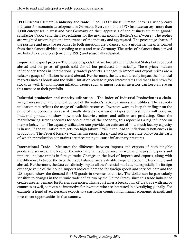IFO Business Climate in industry and trade – The IFO Business Climate Index is a widely early indicator for economic development in Germany. Every month the IFO Institute surveys more than 7,000 enterprises in west and east Germany on their appraisals of the business situation (good/ satisfactory/poor) and their expectations for the next six months (better/same/worse). The replies are weighted according to the importance of the industry and aggregated. The percentage shares of the positive and negative responses to both questions are balanced and a geometric mean is formed from the balances divided according to east and west Germany. The series of balances thus derived are linked to a base year (currently 1991) and seasonally adjusted.

Import and export prices – The prices of goods that are brought in the United States but produced abroad and the prices of goods sold abroad but produced domestically. These prices indicate inflationary trends in internationally traded products. Changes in import and export prices are a valuable gauge of inflation here and abroad. Furthermore, the data can directly impact the financial markets such as bonds and the dollar. Inflation leads to higher interest rates and that's bad news for stocks as well. By monitoring inflation gauges such as import prices, investors can keep an eye on this menace to their portfolio.

Industrial production and capacity utilization – The Index of Industrial Production is a chainweight measure of the physical output of the nation's factories, mines and utilities. The capacity utilization rate reflects the usage of available resources. Investors want to keep their finger on the pulse of the economy because it usually dictates how various types of investments will perform. Industrial production show how much factories, mines and utilities are producing. Since the manufacturing sector accounts for one-quarter of the economy, this report has a big influence on market behaviour. The capacity utilization rate provides an estimate of how much factory capacity is in use. If the utilization rate gets too high (above 85%) it can lead to inflationary bottlenecks in production. The Federal Reserve watches this report closely and sets interest rate policy on the basis of whether production constraints are threatening to cause inflationary pressures.

International Trade – Measures the difference between imports and exports of both tangible goods and services. The level of the international trade balance, as well as changes in exports and imports, indicate trends in foreign trade. Changes in the level of imports and exports, along with the difference between the two (the trade balance) are a valuable gauge of economic trends here and abroad. Furthermore, the data can directly impact all the financial markets, but especially the foreign exchange value of the dollar. Imports indicate demand for foreign goods and services here and the US exports show the demand for US goods in overseas countries. The dollar can be particularly sensitive to changes in the chronic trade deficit run by the United States, since this trade imbalance creates greater demand for foreign currencies. This report gives a breakdown of US trade with major countries as well, so it can be instructive for investors who are interested in diversifying globally. For example, a trend of accelerating exports to a particular country might signal economic strength and investment opportunities in that country.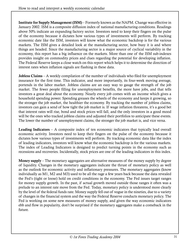Institute for Supply Management (ISM) – Formerly known as the NAPM. Change was effective in January 2002. ISM is a composite diffusion index of national manufacturing conditions. Readings above 50% indicate an expanding factory sector. Investors need to keep their fingers on the pulse of the economy because it dictates how various types of investments will perform. By tracking economic date like the ISM, investors will know what the economic backdrop is for the various markets. The ISM gives a detailed look at the manufacturing sector, how busy it is and where things are headed. Since the manufacturing sector is a major source of cyclical variability in the economy, this report has a big influence on the markets. More than one of the ISM sub-indexes provides insight on commodity prices and clues regarding the potential for developing inflation. The Federal Reserve keeps a close watch on this report which helps it to determine the direction of interest rates when inflation signals are flashing in these data.

Jobless Claims – A weekly compilation of the number of individuals who filed for unemployment insurance for the first time. This indicator, and more importantly, its four-week moving average, portends in the labor market. Jobless claims are an easy way to gauge the strength of the job market. The fewer people filling for unemployment benefits, the more have jobs, and that tells investors a great deal about the economy. Nearly every job comes with an income which gives a household spending power. Spending greases the wheels of the economy and keeps it growing, so the stronger the job market, the healthier the economy. By tracking the number of jobless claims, investors can gain a send of how tight the job market is. If wage inflation threatens, it's a good bet that interest rates will rise, bond and stock prices will fall, and the only investors in a good mood will be the ones who tracked jobless claims and adjusted their portfolios to anticipate these events. The lower the number of unemployment claims, the stronger the job market is, and vice versa.

Leading Indicators – A composite index of ten economic indicators that typically lead overall economic activity. Investors need to keep their fingers on the pulse of the economy because it dictates how various types of investments will perform. By tracking economic data like the index of leading indicators, investors will know what the economic backdrop is for the various markets. The index of Leading Indicators is designed to predict turning points in the economy such as recessions and recoveries. Incidentally, stock prices are one of the leading indicators in this index.

Money supply – The monetary aggregates are alternative measures of the money supply by degree of liquidity. Changes in the monetary aggregates indicate the thrust of monetary policy as well as the outlook for economic activity and inflationary pressures. The monetary aggregates (know individually as M1, M2 and M3) used to be all the rage a few years back because the data revealed the Fed's (tight or loose) hold on credit conditions in the economy. The Fed issues target ranges for money supply growth. In the past, if actual growth moved outside those ranges it often was a prelude to an interest rate move from the Fed. Today, monetary policy is understood more clearly by the level of the federal funds rate. Money supply fell out of vogue in the nineties, due to a variety of changes in the financial system and the way the Federal Reserve conducts monetary policy. The Fed is working on some new measures of money supply, and given the way economic indicators ebb and flow in popularity, don't be surprised if the monetary aggregates make a comeback in the future.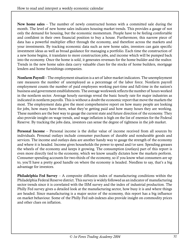New home sales – The number of newly constructed homes with a committed sale during the month. The level of new home sales indicates housing market trends. This provides a gauge of not only the demand for housing, but the economic momentum. People have to be feeling comfortable and confident in their own financial position to buy a house. Furthermore, this narrow piece of data has a powerful multiplier effect through the economy, and therefore across the markets and your investments. By tracking economic data such as new home sales, investors can gain specific investment ideas as well as broad guidance for managing a portfolio. Each time the construction of a new home begins, it translates to more construction jobs, and income which will be pumped back into the economy. Once the home is sold, it generates revenues for the home builder and the realtor. Trends in the new home sales data carry valuable clues for the stocks of home builders, mortgage lenders and home furnishings companies.

Nonfarm Payroll – The employment situation is a set of labor market indicators. The unemployment rate measures the number of unemployed as a percentage of the labor force. Nonfarm payroll employment counts the number of paid employees working part-time and full-time in the nation's business and government establishments. The average workweek reflects the number of hours worked in the nonfarm sector. Average hourly earnings reveal the basic hourly rate for major industries as indicated in nonfarm payrolls. This is without a doubt the economic report that move the markets the most. The employment data give the most comprehensive report on how many people are looking for jobs, how many have them, what they're getting paid and how many hours they are working. These numbers are the best way to gauge the current state and future direction of the economy. They also provide insight on wage trends, and wage inflation is high on the list of enemies for the Federal Reserve. By tracking the jobs data, investors can sense the degree of tightness in the job market.

Personal Income – Personal income is the dollar value of income received from all sources by individuals. Personal outlays include consumer purchases of durable and nondurable goods and services. The income and outlays data are another handy way to gauge the strength of the economy and where it is headed. Income gives households the power to spend and/or save. Spending greases the wheels of the economy and keeps it growing. The consumption (outlays) part of this report is even more directly tied to the economy, which we know usually dictates how the markets perform. Consumer spending accounts for two-thirds of the economy, so if you know what consumers are up to, you'll have a pretty good handle on where the economy is headed. Needless to say, that's a big advantage for investors.

**Philadelphia Fed Survey** – A composite diffusion index of manufacturing conditions within the Philadelphia Federal Reserve district. This survey is widely followed as an indicator of manufacturing sector trends since it is correlated with the ISM survey and the index of industrial production. The Philly Fed survey gives a detailed look at the manufacturing sector, how busy it is and where things are headed. Since manufacturing is a major sector of the economy, this report has a big influence on market behaviour. Some of the Philly Fed sub-indexes also provide insight on commodity prices and other clues on inflation.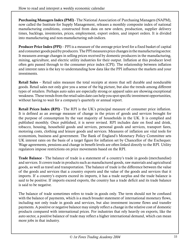Purchasing Managers Index (PMI) - The National Association of Purchasing Managers (NAPM), now called the Institute for Supply Management, releases a monthly composite index of national manufacturing conditions, constructed from data on new orders, production, supplier delivery times, backlogs, inventories, prices, employment, export orders, and import orders. It is divided into manufacturing and non-manufacturing sub-indices.

**Producer Price Index (PPI)** – PPI is a measure of the average price level for a fixed basket of capital and consumer goods paid by producers. The PPI measures price changes in the manufacturing sector. It measures average changes in selling prices received by domestic producers in the manufacturing, mining, agriculture, and electric utility industries for their output. Inflation at this producer level often gets passed through to the consumer price index (CPI). The relationship between inflation and interest rates is the key to understanding how data like the PPI influence the markets and your investments.

Retail Sales – Retail sales measure the total receipts at stores that sell durable and nondurable goods. Retail sales not only give you a sense of the big picture, but also the trends among different types of retailers. Perhaps auto sales are especially strong or apparel sales are showing exceptional weakness. These trends from the retail sales date can help you spot specific investment opportunities, without having to wait for a company's quarterly or annual report.

Retail Prices Index (RPI) - The RPI is the UK's principal measure of consumer price inflation. It is defined as an average measure of change in the prices of goods and services brought for the purpose of consumption by the vast majority of households in the UK. It is complied and published monthly. Once published, it is never revised. RPI includes date on food and drink, tobacco, housing, household goods and services, personal goods and services, transport fares, motoring costs, clothing and leisure goods and services. Measures of inflation are vital tools for economists, business and government. The Bank of England's Monetary Policy Committee sets UK interest rates on the basis of a target figure for inflation set by Chancellor of the Exchequer. Wage agreements, pensions and change in benefit levels are often linked directly to the RPI. Utility regulators impose restrictions on price movements based on the RPI.

Trade Balance - The balance of trade is a statement of a country's trade in goods (merchandise) and services. It covers trade in products such as manufactured goods, raw materials and agricultural goods, as well as travel and transportation. The balance of trade is the difference between the value of the goods and services that a country exports and the value of the goods and services that it imports. If a country's exports exceed its imports, it has a trade surplus and the trade balance is said to be positive. If imports exceed exports, the country has a trade deficit and its trade balance is said to be negative.

The balance of trade sometimes refers to trade in goods only. The term should not be confused with the balance of payments, which is a much broader statement of international monetary flows, including not only trade in goods and services, but also investment income flows and transfer payments. A positive or negative balance may simply reflect a change in the relative cost of domestic products compared with international prices. For industries that rely heavily on exports, like the auto sector, a positive balance of trade may reflect a higher international demand, which can mean more jobs in that industry.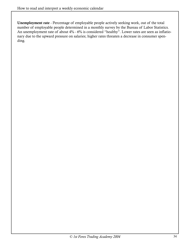Unemployment rate - Percentage of employable people actively seeking work, out of the total number of employable people determined in a monthly survey by the Bureau of Labor Statistics. An unemployment rate of about 4% - 6% is considered "healthy". Lower rates are seen as inflationary due to the upward pressure on salaries; higher rates threaten a decrease in consumer spending.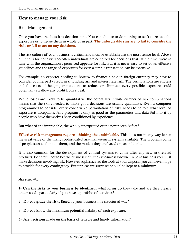#### <span id="page-34-0"></span>How to manage your risk

#### Risk Management

Once you have the facts it is decision time. You can choose to do nothing or seek to reduce the exposures or to hedge them in whole or in part. The unforgivable sins are to fail to consider the risks or fail to act on any decisions.

The risk culture of your business is critical and must be established at the most senior level. Above all it calls for honesty. Too often individuals are criticized for decisions that, at the time, were in tune with the organization's perceived appetite for risk. But it is never easy to set down effective guidelines and the range of exposures for even a simple transaction can be extensive.

For example, an exporter needing to borrow to finance a sale in foreign currency may have to consider counterparty credit risk, funding risk and interest rate risk. The permutations are endless and the costs of hedging transactions to reduce or eliminate every possible exposure could potentially swallow any profit from a deal.

While losses are likely to be quantitative, the potentially infinite number of risk combinations means that the skills needed to make good decisions are usually qualitative. Even a computer programmed to consider every conceivable permutation of risks needs to be told what level of exposure is acceptable. Any program is only as good as the parameters and data fed into it by people who have themselves been conditioned by experience.

But what of the improbable, the wholly unexpected or the never-seen-before?

Effective risk management requires thinking the unthinkable. This does not in any way lessen the great value of the many sophisticated risk-management systems available. The problems come if people start to think of them, and the models they are based on, as infallible.

It is also common for the development of control systems to come after any new risk-related products. Be careful not to bet the business until the exposure is known. To be in business you must make decisions involving risk. However sophisticated the tools at your disposal you can never hope to provide for every contingency. But unpleasant surprises should be kept to a minimum.

*Ask yourself…*

1- Can the risks to your business be identified, what forms do they take and are they clearly understood - particularly if you have a portfolio of activities?

2 - Do you grade the risks faced by your business in a structured way?

3 - Do you know the maximum potential liability of each exposure?

4 - Are decisions made on the basis of reliable and timely information?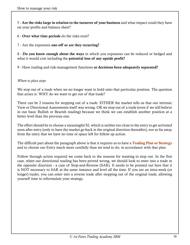5 - Are the risks large in relation to the turnover of your business and what impact could they have on your profits and balance sheet?

6 - Over what time periods do the risks exist?

7 - Are the exposures one-off or are they recurring?

8 - Do you know enough about the ways in which you exposures can be reduced or hedged and what it would cost including the **potential loss of any upside profit?** 

9 - Have trading and risk-management functions or decisions been adequately separated?

#### *Where to place stops*

We stop out of a trade when we no longer want to hold onto that particular position. The question that arises is: WHY do we want to get out of that trade?

There can be 2 reasons for stopping out of a trade. EITHER the market tells us that our intrinsic View or Directional Assessments itself was wrong. OR we stop out of a trade (even if we still believe in our basic Bullish or Bearish reading) because we think we can establish another position at a better level than the previous one.

The effort should be to choose a meaningful SL which is neither too close to the entry to get activated soon after entry (only to have the market go back in the original direction thereafter), nor so far away from the entry that we have no time or space left for follow up action.

The difficult part about the paragraph above is that it requires us to have a **Trading Plan or Strategy** and to choose our Entry much more carefully than we tend to do, in accordance with that plan.

Follow through action required we come back to the reasons for wanting to stop out. In the first case, when our directional reading has been proved wrong, we should look to enter into a trade in the opposite direction - a case of Stop-and-Reverse (SAR). It needs to be pointed out here that it is NOT necessary to SAR at the same instance and level all the time. If you are an intra-week (or longer) trader, you can enter into a reverse trade after stopping out of the original trade, allowing yourself time to reformulate your strategy.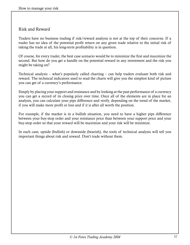### Risk and Reward

Traders have no business trading if risk/reward analysis is not at the top of their concerns. If a trader has no idea of the potential profit return on any given trade relative to the initial risk of taking the trade at all, his long-term profitability is in question.

Of course, for every trader, the best case scenario would be to minimize the first and maximize the second. But how do you get a handle on the potential reward in any investment and the risk you might be taking on?

Technical analysis – what's popularly called charting – can help traders evaluate both risk and reward. The technical indicators used to read the charts will give you the simplest kind of picture you can get of a currency's performance.

Simply by placing your support and resistance and by looking at the past performance of a currency you can get a record of its closing price over time. Once all of the elements are in place for an analysis, you can calculate your pips difference and verify, depending on the trend of the market, if you will make more profit or loss and if it is after all worth the position.

For example, if the market is in a bullish situation, you need to have a higher pips difference between your buy-stop order and your resistance price than between your support price and your buy-stop order so that your reward will be maximize and your risk will be minimize.

In each case, upside (bullish) or downside (bearish), the tools of technical analysis will tell you important things about risk and reward. Don't trade without them.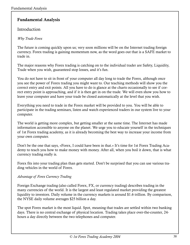## <span id="page-37-0"></span>Fundamental Analysis

## Introduction

*Why Trade Forex*

The future is coming quickly upon us; very soon millions will be on the Internet trading foreign currency. Forex trading is gaining momentum now, as the word goes out that is a SAFE market to trade in.

The major reasons why Forex trading is catching on to the individual trader are Safety, Liquidity, Trade when you wish, guaranteed stop losses, and it's fun.

You do not have to sit in front of your computer all day long to trade the Forex, although once you see the power of Forex trading you might want to. Our teaching methods will show you the correct entry and exit points. All you have to do is glance at the charts occasionally to see if correct entry point is approaching, and if it is then get in on the trade. We will even show you how to leave your computer and have your trade be closed automatically at the level that you wish.

Everything you need to trade in the Forex market will be provided to you. You will be able to participate in the trading seminars, listen and watch experienced traders in our system live to your computer.

The world is getting more complex, but getting smaller at the same time. The Internet has made information accessible to anyone on the planet. We urge you to educate yourself in the techniques of 1st Forex trading academy, as it is already becoming the best way to increase your income from your own computer.

Don't be the one that says, «Forex, I could have been in that.» It's time for 1st Forex Trading Academy to teach you how to make money with money. After all, when you boil it down, that is what currency trading really is.

Forex fits into your trading plan than gets started. Don't be surprised that you can use various trading vehicles in the world of Forex.

### *Advantage of Forex Currency Trading*

Foreign Exchange trading (also called Forex, FX, or currency trading) describes trading in the many currencies of the world. It is the largest and least regulated market providing the greatest liquidity to investors. Daily volume in the currency markets is around \$1.6 trillion. By comparison, the NYSE daily volume averages \$25 billion a day.

The spot Forex market is the most liquid. Spot, meaning that trades are settled within two banking days. There is no central exchange of physical location. Trading takes place over-the-counter, 24 hours a day directly between the two telephones and computer.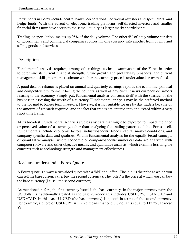Participants in Forex include central banks, corporations, individual investors and speculators, and hedge funds. With the advent of electronic trading platforms, self-directed investors and smaller financial firms now have access to the same liquidity as larger market participants.

Trading, or speculation, makes up 95% of the daily volume. The other 5% of daily volume consists of governments and commercial companies converting one currency into another from buying and selling goods and services.

## Description

Fundamental analysis requires, among other things, a close examination of the Forex in order to determine its current financial strength, future growth and profitability prospects, and current management skills, in order to estimate whether the currency price is undervalued or overvalued.

A good deal of reliance is placed on annual and quarterly earnings reports, the economic, political and competitive environment facing the country, as well as any current news currency or rumors relating to the economy. Simply put, fundamental analysis concerns itself with the «basics» of the business in assessing the worth of a currency. Fundamental analysis may be the preferred method to use for mid to longer term investors. However, it is not suitable for use by day traders because of the amount of research required, and the fact that trades are entered into and exited within a very short time frame.

At its broadest, Fundamental Analysis studies any data that might be expected to impact the price or perceived value of a currency, other than analyzing the trading patterns of that Forex itself. Fundamentals include economic factors, industry-specific trends, capital market conditions, and company-specific data and qualities. Within fundamental analysis lie the equally broad concepts of quantitative analysis, where economic or company-specific numerical data are analyzed with computer software and other objective means, and qualitative analysis, which examine less tangible concepts such as technology strength and management effectiveness.

## Read and understand a Forex Quote

A Forex quote is always a two-sided quote with a 'bid' and 'offer'. The 'bid' is the price at which you can sell the base currency (i.e. buy the second currency). The 'offer' is the price at which you can buy the base currency (i.e. sell the second currency).

As mentioned before, the first currency listed is the base currency. In the major currency pairs the US dollar is traditionally treated as the base currency this includes USD/JPY, USD/CHF and USD/CAD. In this case \$1 USD (the base currency) is quoted in terms of the second currency. For example, a quote of USD/JPY = 112.25 means that one US dollar is equal to 112.25 Japanese Yen.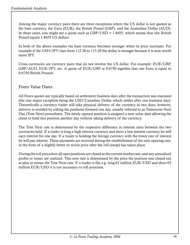Among the major currency pairs there are three exceptions where the US dollar is not quoted as the base currency, the Euro (EUR), the British Pound (GBP), and the Australian Dollar (AUD). In these cases, you might see a quote such as  $GBP/USD = 1.8455$ , which means that one British Pound equals 1.8455 US dollars.

In both of the above examples the base currency becomes stronger when its price increases. For example if the USD/JPY rises from 112.20 to 113.20 the dollar is stronger because it is now worth more JPY.

Cross currencies are currency pairs that do not involve the US dollar. For example: EUR/GBP, GBP/AUD, EUR/JPY, etc. A quote of EUR/GBP at 0.6750 signifies that one Euro is equal to 0.6750 British Pounds.

#### Forex Value Dates

All Forex quotes are typically based on settlement business days after the transaction was executed (the one major exception being the USD/Canadian Dollar which settles after one business day). Theoretically a currency trader will take physical delivery of the currency in two days; however, delivery is avoided by rolling the positions forward one day, usually referred to as Tomorrow Next Day (Tom Next) procedures. The newly opened position is assigned a new value date allowing the client to hold this position another day without taking delivery of the currency.

The Tom Next rate is determined by the respective difference in interest rates between the two currencies held. If a trader is long a high interest currency and short a low interest currency he will earn interest for one day. If a trader is holding the foreign currency with the lower rate of interest he will pay interest. These payments are received during the establishment of the new opening rate, in the form of a slightly better or worse price after the roll (swap) has taken place.

During the roll procedure all open positions are closed at the current market rate, and any unrealized profits or losses are realized. This new rate is determined by the price the position was closed out at plus or minus the Tom Next rate. If a trader is flat e.g. long  $\epsilon$ 2 million EUR/USD and short  $\epsilon$ 2 million EUR/USD it is not necessary to roll positions.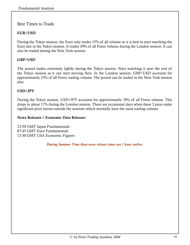Best Times to Trade

#### EUR/USD

During the Tokyo session, the Euro only trades 15% of all volume so it is best to start watching the Euro late in the Tokyo session. It trades 39% of all Forex volume during the London session. It can also be traded during the New York session.

#### GBP/USD

The pound trades extremely lightly during the Tokyo session. Start watching it near the end of the Tokyo session as it can start moving then. In the London session, GBP/USD accounts for approximately 23% of all Forex trading volume. The pound can be traded in the New York session also.

#### USD/JPY

During the Tokyo session, USD/JPY accounts for approximately 78% of all Forex volume. This drops to about 17% during the London session. There are occasional days when these 3 pairs make significant price moves outside the sessions which normally have the most trading volume.

#### News Releases / Economic Data Releases

23:50 GMT Japan Fundamentals 07:45 GMT Euro Fundamentals 13:30 GMT USA Economic Figures

*During Summer Time these news release times are 1 hour earlier.*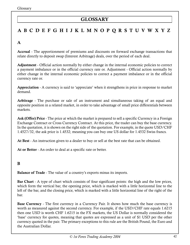# **GLOSSARY**

# <span id="page-41-0"></span>[A](#page-41-1) [B](#page-41-2) [C](#page-42-0) [D](#page-44-0) [E](#page-44-1) [F](#page-45-0) [G](#page-45-1) [H](#page-46-0) [I](#page-46-1) J [K](#page-46-2) [L](#page-46-3) [M](#page-47-0) [N](#page-47-1) [O](#page-47-2) [P](#page-48-0) [Q](#page-48-1) [R](#page-48-2) [S](#page-49-0) [T](#page-50-0) [U](#page-50-1) [V](#page-50-2) [W](#page-51-0) X [Y](#page-51-1) Z

## <span id="page-41-1"></span>A

Accrual - The apportionment of premiums and discounts on forward exchange transactions that relate directly to deposit swap (Interest Arbitrage) deals, over the period of each deal.

Adjustment - Official action normally by either change in the internal economic policies to correct a payment imbalance or in the official currency rate or. Adjustment - Official action normally by either change in the internal economic policies to correct a payment imbalance or in the official currency rate or.

Appreciation - A currency is said to 'appreciate' when it strengthens in price in response to market demand.

Arbitrage - The purchase or sale of an instrument and simultaneous taking of an equal and opposite position in a related market, in order to take advantage of small price differentials between markets.

Ask (Offer) Price - The price at which the market is prepared to sell a specific Currency in a Foreign Exchange Contract or Cross Currency Contract. At this price, the trader can buy the base currency. In the quotation, it is shown on the right side of the quotation. For example, in the quote USD/CHF 1.4527/32, the ask price is 1.4532; meaning you can buy one US dollar for 1.4532 Swiss francs.

At Best - An instruction given to a dealer to buy or sell at the best rate that can be obtained.

At or Better - An order to deal at a specific rate or better.

### <span id="page-41-2"></span>B

Balance of Trade - The value of a country's exports minus its imports.

Bar Chart - A type of chart which consists of four significant points: the high and the low prices, which form the vertical bar, the opening price, which is marked with a little horizontal line to the left of the bar, and the closing price, which is marked with a little horizontal line of the right of the bar.

Base Currency - The first currency in a Currency Pair. It shows how much the base currency is worth as measured against the second currency. For example, if the USD/CHF rate equals 1.6215 then one USD is worth CHF 1.6215 in the FX markets, the US Dollar is normally considered the 'base' currency for quotes, meaning that quotes are expressed as a unit of \$1 USD per the other currency quoted in the pair. The primary exceptions to this rule are the British Pound, the Euro and the Australian Dollar.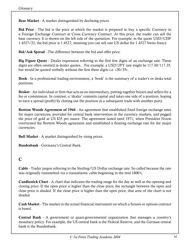Bear Market - A market distinguished by declining prices.

Bid Price - The bid is the price at which the market is prepared to buy a specific Currency in a Foreign Exchange Contract or Cross Currency Contract. At this price, the trader can sell the base currency. It is shown on the left side of the quotation. For example, in the quote USD/CHF 1.4527/32, the bid price is 1.4527; meaning you can sell one US dollar for 1.4527 Swiss francs.

Bid/Ask Spread - The difference between the bid and offer price.

Big Figure Quote - Dealer expression referring to the first few digits of an exchange rate. These digits are often omitted in dealer quotes... For example, a USD/JPY rate might be 117.30/117.35, but would be quoted verbally without the first three digits i.e. «30/35».

Book - In a professional trading environment, a 'book' is the summary of a trader's or desks total positions.

Broker - An individual or firm that acts as an intermediary, putting together buyers and sellers for a fee or commission. In contrast, a 'dealer' commits capital and takes one side of a position, hoping to earn a spread (profit) by closing out the position in a subsequent trade with another party.

Bretton Woods Agreement of 1944 - An agreement that established fixed foreign exchange rates for major currencies, provided for central bank intervention in the currency markets, and pegged the price of gold at US \$35 per ounce. The agreement lasted until 1971, when President Nixon overturned the Bretton Woods agreement and established a floating exchange rate for the major currencies.

Bull Market - A market distinguished by rising prices.

Bundesbank - Germany's Central Bank.

## <span id="page-42-0"></span> $\mathbf C$

Cable - Trader jargon referring to the Sterling/US Dollar exchange rate. So called because the rate was originally transmitted via a transatlantic cable beginning in the mid 1800's.

Candlestick Chart - A chart that indicates the trading range for the day as well as the opening and closing price. If the open price is higher than the close price, the rectangle between the open and close price is shaded. If the close price is higher than the open price, that area of the chart is not shaded.

Cash Market - The market in the actual financial instrument on which a futures or options contract is based.

Central Bank - A government or quasi-governmental organization that manages a country's monetary policy. For example, the US central bank is the Federal Reserve, and the German central bank is the Bundesbank.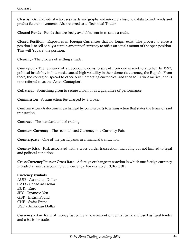Chartist - An individual who uses charts and graphs and interprets historical data to find trends and predict future movements. Also referred to as Technical Trader.

Cleared Funds - Funds that are freely available, sent in to settle a trade.

Closed Position - Exposures in Foreign Currencies that no longer exist. The process to close a position is to sell or buy a certain amount of currency to offset an equal amount of the open position. This will 'square' the position.

Clearing - The process of settling a trade.

Contagion - The tendency of an economic crisis to spread from one market to another. In 1997, political instability in Indonesia caused high volatility in their domestic currency, the Rupiah. From there, the contagion spread to other Asian emerging currencies, and then to Latin America, and is now referred to as the 'Asian Contagion'.

Collateral - Something given to secure a loan or as a guarantee of performance.

Commission - A transaction fee charged by a broker.

Confirmation - A document exchanged by counterparts to a transaction that states the terms of said transaction.

Contract - The standard unit of trading.

Counters Currency - The second listed Currency in a Currency Pair.

Counterparty - One of the participants in a financial transaction.

Country Risk - Risk associated with a cross-border transaction, including but not limited to legal and political conditions.

Cross Currency Pairs or Cross Rate - A foreign exchange transaction in which one foreign currency is traded against a second foreign currency. For example; EUR/GBP.

#### Currency symbols

AUD - Australian Dollar CAD - Canadian Dollar EUR - Euro JPY - Japanese Yen GBP - British Pound CHF - Swiss Franc USD - American Dollar

Currency - Any form of money issued by a government or central bank and used as legal tender and a basis for trade.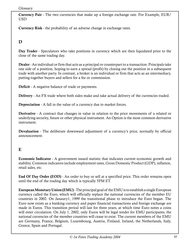Currency Pair - The two currencies that make up a foreign exchange rate. For Example, EUR/ USD

Currency Risk - the probability of an adverse change in exchange rates.

## <span id="page-44-0"></span>D

Day Trader - Speculators who take positions in currency which are then liquidated prior to the close of the same trading day.

Dealer - An individual or firm that acts as a principal or counterpart to a transaction. Principals take one side of a position, hoping to earn a spread (profit) by closing out the position in a subsequent trade with another party. In contrast, a broker is an individual or firm that acts as an intermediary, putting together buyers and sellers for a fee or commission.

Deficit - A negative balance of trade or payments.

Delivery - An FX trade where both sides make and take actual delivery of the currencies traded.

Depreciation - A fall in the value of a currency due to market forces.

Derivative - A contract that changes in value in relation to the price movements of a related or underlying security, future or other physical instrument. An Option is the most common derivative instrument.

Devaluation - The deliberate downward adjustment of a currency's price, normally by official announcement.

## <span id="page-44-1"></span>E

Economic Indicator - A government issued statistic that indicates current economic growth and stability. Common indicators include employment rates, Gross Domestic Product (GDP), inflation, retail sales, etc.

End Of Day Order (EOD) - An order to buy or sell at a specified price. This order remains open until the end of the trading day which is typically 5PM ET.

European Monetary Union (EMU) - The principal goal of the EMU is to establish a single European currency called the Euro, which will officially replace the national currencies of the member EU countries in 2002. On Janaury1, 1999 the transitional phase to introduce the Euro began. The Euro now exists as a banking currency and paper financial transactions and foreign exchange are made in Euros. This transition period will last for three years, at which time Euro notes a coins will enter circulation. On July 1, 2002, only Euros will be legal tender for EMU participants, the national currencies of the member countries will cease to exist. The current members of the EMU are Germany, France, Belgium, Luxembourg, Austria, Finland, Ireland, the Netherlands, Italy, Greece, Spain and Portugal.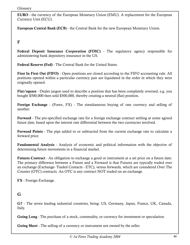EURO - the currency of the European Monetary Union (EMU). A replacement for the European Currency Unit (ECU).

European Central Bank (ECB) - the Central Bank for the new European Monetary Union.

## <span id="page-45-0"></span>F

Federal Deposit Insurance Corporation (FDIC) - The regulatory agency responsible for administering bank depository insurance in the US.

Federal Reserve (Fed) - The Central Bank for the United States.

First In First Out (FIFO) - Open positions are closed according to the FIFO accounting rule. All positions opened within a particular currency pair are liquidated in the order in which they were originally opened.

Flat/square - Dealer jargon used to describe a position that has been completely reversed, e.g. you bought \$500,000 then sold \$500,000, thereby creating a neutral (flat) position.

Foreign Exchange - (Forex, FX) - The simultaneous buying of one currency and selling of another.

Forward - The pre-specified exchange rate for a foreign exchange contract settling at some agreed future date, based upon the interest rate differential between the two currencies involved.

Forward Points - The pips added to or subtracted from the current exchange rate to calculate a forward price.

Fundamental Analysis - Analysis of economic and political information with the objective of determining future movements in a financial market.

Futures Contract - An obligation to exchange a good or instrument at a set price on a future date. The primary difference between a Future and a Forward is that Futures are typically traded over an exchange (Exchange- Traded Contacts - ETC), versus forwards, which are considered Over The Counter (OTC) contracts. An OTC is any contract NOT traded on an exchange.

FX - Foreign Exchange.

## <span id="page-45-1"></span>G

G7 - The seven leading industrial countries, being: US, Germany, Japan, France, UK, Canada, Italy.

Going Long - The purchase of a stock, commodity, or currency for investment or speculation.

Going Short - The selling of a currency or instrument not owned by the seller.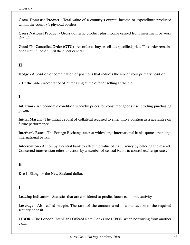Gross Domestic Product - Total value of a country's output, income or expenditure produced within the country's physical borders.

Gross National Product - Gross domestic product plus income earned from investment or work abroad.

Good 'Til Cancelled Order (GTC) - An order to buy or sell at a specified price. This order remains open until filled or until the client cancels.

## <span id="page-46-0"></span> $H$

Hedge - A position or combination of positions that reduces the risk of your primary position.

«Hit the bid» - Acceptance of purchasing at the offer or selling at the bid.

## <span id="page-46-1"></span>I

Inflation - An economic condition whereby prices for consumer goods rise, eroding purchasing power.

Initial Margin - The initial deposit of collateral required to enter into a position as a guarantee on future performance.

Interbank Rates - The Foreign Exchange rates at which large international banks quote other large international banks.

Intervention - Action by a central bank to affect the value of its currency by entering the market. Concerted intervention refers to action by a number of central banks to control exchange rates.

## <span id="page-46-2"></span>K

Kiwi - Slang for the New Zealand dollar.

## <span id="page-46-3"></span>L

Leading Indicators - Statistics that are considered to predict future economic activity.

Leverage - Also called margin. The ratio of the amount used in a transaction to the required security deposit.

LIBOR - The London Inter-Bank Offered Rate. Banks use LIBOR when borrowing from another bank.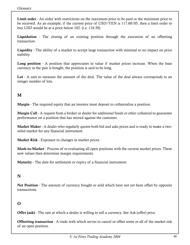Limit order - An order with restrictions on the maximum price to be paid or the minimum price to be received. As an example, if the current price of USD/YEN is 117.00/05, then a limit order to buy USD would be at a price below 102. (i.e. 116.50)

Liquidation - The closing of an existing position through the execution of an offsetting transaction.

Liquidity - The ability of a market to accept large transaction with minimal to no impact on price stability.

Long position - A position that appreciates in value if market prices increase. When the base currency in the pair is bought, the position is said to be long.

Lot - A unit to measure the amount of the deal. The value of the deal always corresponds to an integer number of lots.

## <span id="page-47-0"></span>M

Margin - The required equity that an investor must deposit to collateralize a position.

Margin Call - A request from a broker or dealer for additional funds or other collateral to guarantee performance on a position that has moved against the customer.

Market Maker - A dealer who regularly quotes both bid and asks prices and is ready to make a twosided market for any financial instrument.

Market Risk - Exposure to changes in market prices.

Mark-to-Market - Process of re-evaluating all open positions with the current market prices. These new values then determine margin requirements.

Maturity - The date for settlement or expiry of a financial instrument.

## <span id="page-47-1"></span>N

Net Position - The amount of currency bought or sold which have not yet been offset by opposite transactions.

## <span id="page-47-2"></span> $\Omega$

Offer (ask) - The rate at which a dealer is willing to sell a currency. See Ask (offer) price

Offsetting transaction - A trade with which serves to cancel or offset some or all of the market risk of an open position.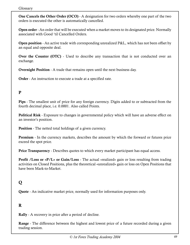One Cancels the Other Order (OCO) - A designation for two orders whereby one part of the two orders is executed the other is automatically cancelled.

Open order - An order that will be executed when a market moves to its designated price. Normally associated with Good 'til Cancelled Orders.

**Open position** - An active trade with corresponding unrealized P&L, which has not been offset by an equal and opposite deal.

Over the Counter (OTC) - Used to describe any transaction that is not conducted over an exchange.

Overnight Position - A trade that remains open until the next business day.

Order - An instruction to execute a trade at a specified rate.

# <span id="page-48-0"></span>P

Pips - The smallest unit of price for any foreign currency. Digits added to or subtracted from the fourth decimal place, i.e. 0.0001. Also called Points.

Political Risk - Exposure to changes in governmental policy which will have an adverse effect on an investor's position.

Position - The netted total holdings of a given currency.

**Premium** - In the currency markets, describes the amount by which the forward or futures price exceed the spot price.

Price Transparency - Describes quotes to which every market participant has equal access.

Profit /Loss or «P/L» or Gain/Loss - The actual «realized» gain or loss resulting from trading activities on Closed Positions, plus the theoretical «unrealized» gain or loss on Open Positions that have been Mark-to-Market.

## <span id="page-48-1"></span> $\mathbf{O}$

Quote - An indicative market price, normally used for information purposes only.

## <span id="page-48-2"></span>R

Rally - A recovery in price after a period of decline.

Range - The difference between the highest and lowest price of a future recorded during a given trading session.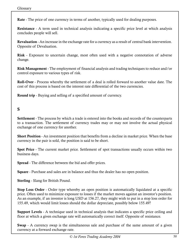Rate - The price of one currency in terms of another, typically used for dealing purposes.

Resistance - A term used in technical analysis indicating a specific price level at which analysis concludes people will sell.

Revaluation - An increase in the exchange rate for a currency as a result of central bank intervention. Opposite of Devaluation.

Risk - Exposure to uncertain change, most often used with a negative connotation of adverse change.

Risk Management - The employment of financial analysis and trading techniques to reduce and/or control exposure to various types of risk.

Roll-Over - Process whereby the settlement of a deal is rolled forward to another value date. The cost of this process is based on the interest rate differential of the two currencies.

Round trip - Buying and selling of a specified amount of currency.

## <span id="page-49-0"></span>S

Settlement - The process by which a trade is entered into the books and records of the counterparts to a transaction. The settlement of currency trades may or may not involve the actual physical exchange of one currency for another.

Short Position - An investment position that benefits from a decline in market price. When the base currency in the pair is sold, the position is said to be short.

Spot Price - The current market price. Settlement of spot transactions usually occurs within two business days.

Spread - The difference between the bid and offer prices.

Square - Purchase and sales are in balance and thus the dealer has no open position.

Sterling - Slang for British Pound.

Stop Loss Order - Order type whereby an open position is automatically liquidated at a specific price. Often used to minimize exposure to losses if the market moves against an investor's position. As an example, if an investor is long USD at 156.27, they might wish to put in a stop loss order for 155.49, which would limit losses should the dollar depreciate, possibly below 155.49?

Support Levels - A technique used in technical analysis that indicates a specific price ceiling and floor at which a given exchange rate will automatically correct itself. Opposite of resistance.

Swap - A currency swap is the simultaneous sale and purchase of the same amount of a given currency at a forward exchange rate.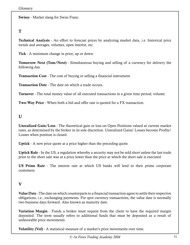Swissy - Market slang for Swiss Franc.

## <span id="page-50-0"></span>T

Technical Analysis - An effort to forecast prices by analyzing market data, i.e. historical price trends and averages, volumes, open interest, etc.

Tick - A minimum change in price, up or down.

Tomorrow Next (Tom/Next) - Simultaneous buying and selling of a currency for delivery the following day.

Transaction Cost - The cost of buying or selling a financial instrument.

Transaction Date - The date on which a trade occurs.

Turnover - The total money value of all executed transactions in a given time period; volume.

Two-Way Price - When both a bid and offer rate is quoted for a FX transaction.

#### <span id="page-50-1"></span> $\mathbf{U}$

Unrealized Gain/Loss - The theoretical gain or loss on Open Positions valued at current market rates, as determined by the broker in its sole discretion. Unrealized Gains' Losses become Profits/ Losses when position is closed.

Uptick - A new price quote at a price higher than the preceding quote.

Uptick Rule - In the US, a regulation whereby a security may not be sold short unless the last trade prior to the short sale was at a price lower than the price at which the short sale is executed.

US Prime Rate - The interest rate at which US banks will lend to their prime corporate customers.

## <span id="page-50-2"></span>V

Value Date - The date on which counterparts to a financial transaction agree to settle their respective obligations, i.e., exchanging payments. For spot currency transactions, the value date is normally two business days forward. Also known as maturity date.

Variation Margin - Funds a broker must request from the client to have the required margin deposited. The term usually refers to additional funds that must be deposited as a result of unfavorable price movements.

Volatility (Vol) - A statistical measure of a market's price movements over time.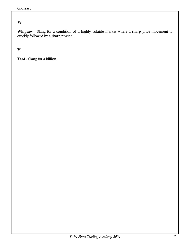## <span id="page-51-0"></span>W

Whipsaw - Slang for a condition of a highly volatile market where a sharp price movement is quickly followed by a sharp reversal.

## <span id="page-51-1"></span>Y

Yard - Slang for a billion.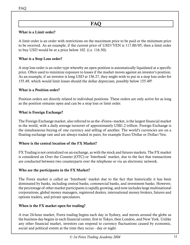# FAQ

#### <span id="page-52-0"></span>What is a Limit order?

A limit order is an order with restrictions on the maximum price to be paid or the minimum price to be received. As an example, if the current price of USD/YEN is 117.00/05, then a limit order to buy USD would be at a price below 102. (i.e. 116.50).

#### What is a Stop Loss order?

A stop loss order is an order type whereby an open position is automatically liquidated at a specific price. Often used to minimize exposure to losses if the market moves against an investor's position. As an example, if an investor is long USD at 156.27, they might wish to put in a stop loss order for 155.49, which would limit losses should the dollar depreciate, possibly below 155.49?

#### What is a Position order?

Position orders are directly related to individual positions. These orders are only active for as long as the position remains open and can be a stop loss or limit order.

#### What is Foreign Exchange?

The Foreign Exchange market, also referred to as the «Forex» market, is the largest financial market in the world, with a daily average turnover of approximately US\$1.2 trillion. Foreign Exchange is the simultaneous buying of one currency and selling of another. The world's currencies are on a floating exchange rate and are always traded in pairs, for example Euro/Dollar or Dollar/Yen.

#### Where is the central location of the FX Market?

FX Trading is not centralized on an exchange, as with the stock and futures markets. The FX market is considered an Over the Counter (OTC) or 'Interbank' market, due to the fact that transactions are conducted between two counterparts over the telephone or via an electronic network.

#### Who are the participants in the FX Market?

The Forex market is called an 'Interbank' market due to the fact that historically it has been dominated by banks, including central banks, commercial banks, and investment banks. However, the percentage of other market participants is rapidly growing, and now includes large multinational corporations, global money managers, registered dealers, international money brokers, futures and options traders, and private speculators.

#### When is the FX market open for trading?

A true 24-hour market, Forex trading begins each day in Sydney, and moves around the globe as the business day begins in each financial center, first to Tokyo, then London, and New York. Unlike any other financial market, investors can respond to currency fluctuations caused by economic, social and political events at the time they occur - day or night.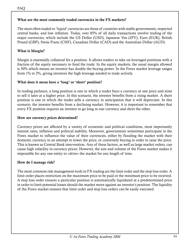#### What are the most commonly traded currencies in the FX markets?

The most often traded or 'liquid' currencies are those of countries with stable governments, respected central banks, and low inflation. Today, over 85% of all daily transactions involve trading of the major currencies, which include the US Dollar (USD), Japanese Yen (JPY), Euro (EUR), British Pound (GBP), Swiss Franc (CHF), Canadian Dollar (CAD) and the Australian Dollar (AUD).

#### What is Margin?

Margin is essentially collateral for a position. It allows traders to take on leveraged positions with a fraction of the equity necessary to fund the trade. In the equity markets, the usual margin allowed is 50% which means an investor has double the buying power. In the Forex market leverage ranges from 1% to 2%, giving investors the high leverage needed to trade actively.

#### What does it mean have a 'long' or 'short' position?

In trading parlance, a long position is one in which a trader buys a currency at one price and aims to sell it later at a higher price. In this scenario, the investor benefits from a rising market. A short position is one in which the trader sells a currency in anticipation that it will depreciate. In this scenario, the investor benefits from a declining market. However, it is important to remember that every FX position requires an investor to go long in one currency and short the other.

#### How are currency prices determined?

Currency prices are affected by a variety of economic and political conditions, most importantly interest rates, inflation and political stability. Moreover, governments sometimes participate in the Forex market to influence the value of their currencies, either by flooding the market with their domestic currency in an attempt to lower the price, or conversely buying in order to raise the price. This is known as Central Bank intervention. Any of these factors, as well as large market orders, can cause high volatility in currency prices. However, the size and volume of the Forex market makes it impossible for any one entity to «drive» the market for any length of time.

#### How do I manage risk?

The most common risk management tools in FX trading are the limit order and the stop loss order. A limit order places restriction on the maximum price to be paid or the minimum price to be received. A stop loss order ensures a particular position is automatically liquidated at a predetermined price in order to limit potential losses should the market move against an investor's position. The liquidity of the Forex market ensures that limit order and stop loss orders can be easily executed.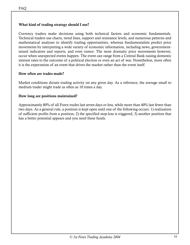#### What kind of trading strategy should I use?

Currency traders make decisions using both technical factors and economic fundamentals. Technical traders use charts, trend lines, support and resistance levels, and numerous patterns and mathematical analyses to identify trading opportunities, whereas fundamentalists predict price movements by interpreting a wide variety of economic information, including news, governmentissued indicators and reports, and even rumor. The most dramatic price movements however, occur when unexpected events happen. The event can range from a Central Bank raising domestic interest rates to the outcome of a political election or even an act of war. Nonetheless, more often it is the expectation of an event that drives the market rather than the event itself.

#### How often are trades made?

Market conditions dictate trading activity on any given day. As a reference, the average small to medium trader might trade as often as 10 times a day.

#### How long are positions maintained?

Approximately 80% of all Forex trades last seven days or less, while more than 40% last fewer than two days. As a general rule, a position is kept open until one of the following occurs: 1) realization of sufficient profits from a position; 2) the specified stop-loss is triggered; 3) another position that has a better potential appears and you need these funds.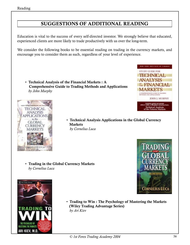# SUGGESTIONS OF ADDITIONAL READING

<span id="page-55-0"></span>Education is vital to the success of every self-directed investor. We strongly believe that educated, experienced clients are more likely to trade productively with us over the long-term.

We consider the following books to be essential reading on trading in the currency markets, and encourage you to consider them as such, regardless of your level of experience.

• Technical Analysis of the Financial Markets : A Comprehensive Guide to Trading Methods and Applications  *by John Murphy*





• Technical Analysis Applications in the Global Currency Markets *by Cornelius Luca*

• Trading in the Global Currency Markets  *by Cornelius Luca*





• Trading to Win : The Psychology of Mastering the Markets (Wiley Trading Advantage Series)  *by Ari Kiev*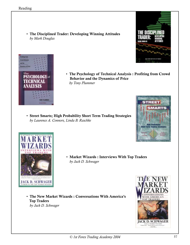• The Disciplined Trader: Developing Winning Attitudes  *by Mark Douglas*



• The Psychology of Technical Analysis : Profiting from Crowd Behavior and the Dynamics of Price *by Tony Plummer*

• Street Smarts; High Probability Short Term Trading Strategies  *by Laurence A. Connors, Linda B. Raschke*



• Market Wizards : Interviews With Top Traders  *by Jack D. Schwager*

• The New Market Wizards : Conversations With America's Top Traders  *by Jack D. Schwager*





**STREET** 

**SMART**